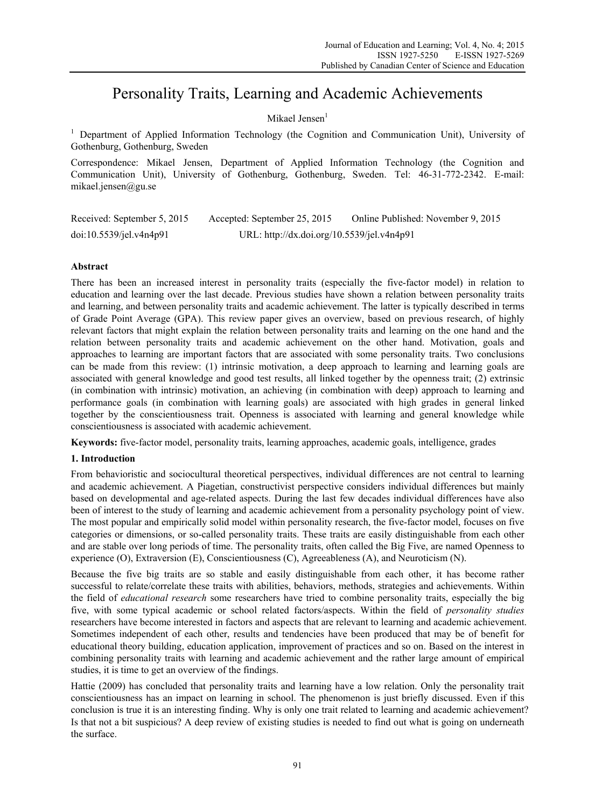# Personality Traits, Learning and Academic Achievements

# Mikael Jensen $1$

<sup>1</sup> Department of Applied Information Technology (the Cognition and Communication Unit), University of Gothenburg, Gothenburg, Sweden

Correspondence: Mikael Jensen, Department of Applied Information Technology (the Cognition and Communication Unit), University of Gothenburg, Gothenburg, Sweden. Tel: 46-31-772-2342. E-mail: mikael.jensen@gu.se

Received: September 5, 2015 Accepted: September 25, 2015 Online Published: November 9, 2015 doi:10.5539/jel.v4n4p91 URL: http://dx.doi.org/10.5539/jel.v4n4p91

# **Abstract**

There has been an increased interest in personality traits (especially the five-factor model) in relation to education and learning over the last decade. Previous studies have shown a relation between personality traits and learning, and between personality traits and academic achievement. The latter is typically described in terms of Grade Point Average (GPA). This review paper gives an overview, based on previous research, of highly relevant factors that might explain the relation between personality traits and learning on the one hand and the relation between personality traits and academic achievement on the other hand. Motivation, goals and approaches to learning are important factors that are associated with some personality traits. Two conclusions can be made from this review: (1) intrinsic motivation, a deep approach to learning and learning goals are associated with general knowledge and good test results, all linked together by the openness trait; (2) extrinsic (in combination with intrinsic) motivation, an achieving (in combination with deep) approach to learning and performance goals (in combination with learning goals) are associated with high grades in general linked together by the conscientiousness trait. Openness is associated with learning and general knowledge while conscientiousness is associated with academic achievement.

**Keywords:** five-factor model, personality traits, learning approaches, academic goals, intelligence, grades

# **1. Introduction**

From behavioristic and sociocultural theoretical perspectives, individual differences are not central to learning and academic achievement. A Piagetian, constructivist perspective considers individual differences but mainly based on developmental and age-related aspects. During the last few decades individual differences have also been of interest to the study of learning and academic achievement from a personality psychology point of view. The most popular and empirically solid model within personality research, the five-factor model, focuses on five categories or dimensions, or so-called personality traits. These traits are easily distinguishable from each other and are stable over long periods of time. The personality traits, often called the Big Five, are named Openness to experience (O), Extraversion (E), Conscientiousness (C), Agreeableness (A), and Neuroticism (N).

Because the five big traits are so stable and easily distinguishable from each other, it has become rather successful to relate/correlate these traits with abilities, behaviors, methods, strategies and achievements. Within the field of *educational research* some researchers have tried to combine personality traits, especially the big five, with some typical academic or school related factors/aspects. Within the field of *personality studies* researchers have become interested in factors and aspects that are relevant to learning and academic achievement. Sometimes independent of each other, results and tendencies have been produced that may be of benefit for educational theory building, education application, improvement of practices and so on. Based on the interest in combining personality traits with learning and academic achievement and the rather large amount of empirical studies, it is time to get an overview of the findings.

Hattie (2009) has concluded that personality traits and learning have a low relation. Only the personality trait conscientiousness has an impact on learning in school. The phenomenon is just briefly discussed. Even if this conclusion is true it is an interesting finding. Why is only one trait related to learning and academic achievement? Is that not a bit suspicious? A deep review of existing studies is needed to find out what is going on underneath the surface.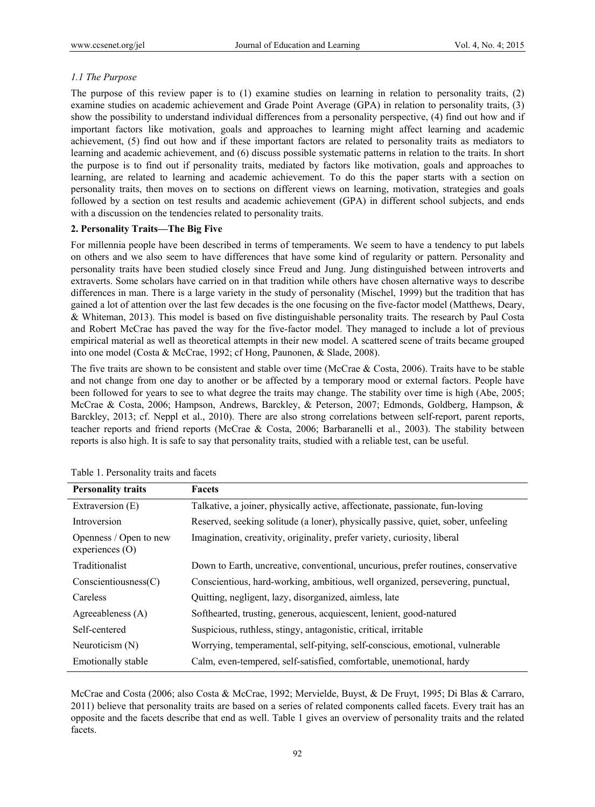### *1.1 The Purpose*

The purpose of this review paper is to (1) examine studies on learning in relation to personality traits, (2) examine studies on academic achievement and Grade Point Average (GPA) in relation to personality traits, (3) show the possibility to understand individual differences from a personality perspective, (4) find out how and if important factors like motivation, goals and approaches to learning might affect learning and academic achievement, (5) find out how and if these important factors are related to personality traits as mediators to learning and academic achievement, and (6) discuss possible systematic patterns in relation to the traits. In short the purpose is to find out if personality traits, mediated by factors like motivation, goals and approaches to learning, are related to learning and academic achievement. To do this the paper starts with a section on personality traits, then moves on to sections on different views on learning, motivation, strategies and goals followed by a section on test results and academic achievement (GPA) in different school subjects, and ends with a discussion on the tendencies related to personality traits.

### **2. Personality Traits—The Big Five**

For millennia people have been described in terms of temperaments. We seem to have a tendency to put labels on others and we also seem to have differences that have some kind of regularity or pattern. Personality and personality traits have been studied closely since Freud and Jung. Jung distinguished between introverts and extraverts. Some scholars have carried on in that tradition while others have chosen alternative ways to describe differences in man. There is a large variety in the study of personality (Mischel, 1999) but the tradition that has gained a lot of attention over the last few decades is the one focusing on the five-factor model (Matthews, Deary, & Whiteman, 2013). This model is based on five distinguishable personality traits. The research by Paul Costa and Robert McCrae has paved the way for the five-factor model. They managed to include a lot of previous empirical material as well as theoretical attempts in their new model. A scattered scene of traits became grouped into one model (Costa & McCrae, 1992; cf Hong, Paunonen, & Slade, 2008).

The five traits are shown to be consistent and stable over time (McCrae & Costa, 2006). Traits have to be stable and not change from one day to another or be affected by a temporary mood or external factors. People have been followed for years to see to what degree the traits may change. The stability over time is high (Abe, 2005; McCrae & Costa, 2006; Hampson, Andrews, Barckley, & Peterson, 2007; Edmonds, Goldberg, Hampson, & Barckley, 2013; cf. Neppl et al., 2010). There are also strong correlations between self-report, parent reports, teacher reports and friend reports (McCrae & Costa, 2006; Barbaranelli et al., 2003). The stability between reports is also high. It is safe to say that personality traits, studied with a reliable test, can be useful.

| <b>Personality traits</b>                   | <b>Facets</b>                                                                     |
|---------------------------------------------|-----------------------------------------------------------------------------------|
| Extraversion (E)                            | Talkative, a joiner, physically active, affectionate, passionate, fun-loving      |
| Introversion                                | Reserved, seeking solitude (a loner), physically passive, quiet, sober, unfeeling |
| Openness / Open to new<br>experiences $(O)$ | Imagination, creativity, originality, prefer variety, curiosity, liberal          |
| Traditionalist                              | Down to Earth, uncreative, conventional, uncurious, prefer routines, conservative |
| Conscientiousness(C)                        | Conscientious, hard-working, ambitious, well organized, persevering, punctual,    |
| Careless                                    | Quitting, negligent, lazy, disorganized, aimless, late                            |
| Agreeableness (A)                           | Softhearted, trusting, generous, acquiescent, lenient, good-natured               |
| Self-centered                               | Suspicious, ruthless, stingy, antagonistic, critical, irritable                   |
| Neuroticism $(N)$                           | Worrying, temperamental, self-pitying, self-conscious, emotional, vulnerable      |
| <b>Emotionally stable</b>                   | Calm, even-tempered, self-satisfied, comfortable, unemotional, hardy              |

Table 1. Personality traits and facets

McCrae and Costa (2006; also Costa & McCrae, 1992; Mervielde, Buyst, & De Fruyt, 1995; Di Blas & Carraro, 2011) believe that personality traits are based on a series of related components called facets. Every trait has an opposite and the facets describe that end as well. Table 1 gives an overview of personality traits and the related facets.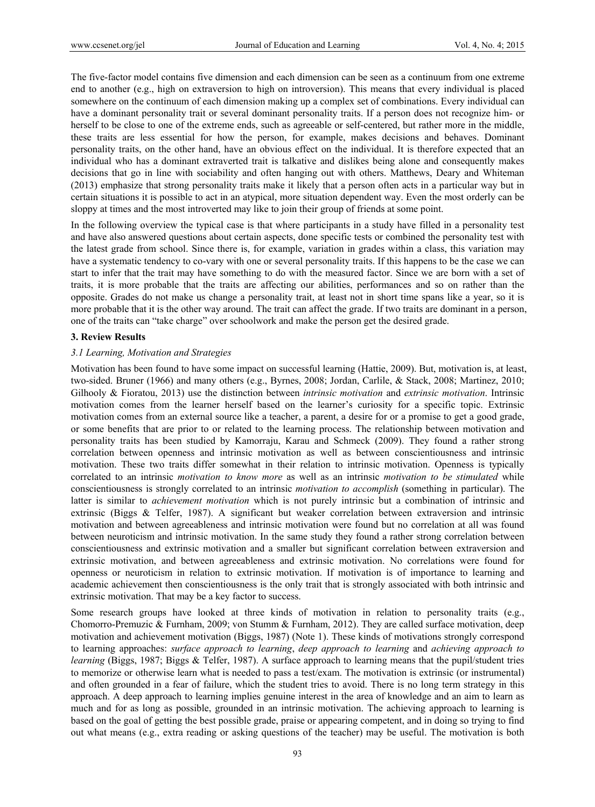The five-factor model contains five dimension and each dimension can be seen as a continuum from one extreme end to another (e.g., high on extraversion to high on introversion). This means that every individual is placed somewhere on the continuum of each dimension making up a complex set of combinations. Every individual can have a dominant personality trait or several dominant personality traits. If a person does not recognize him- or herself to be close to one of the extreme ends, such as agreeable or self-centered, but rather more in the middle, these traits are less essential for how the person, for example, makes decisions and behaves. Dominant personality traits, on the other hand, have an obvious effect on the individual. It is therefore expected that an individual who has a dominant extraverted trait is talkative and dislikes being alone and consequently makes decisions that go in line with sociability and often hanging out with others. Matthews, Deary and Whiteman (2013) emphasize that strong personality traits make it likely that a person often acts in a particular way but in certain situations it is possible to act in an atypical, more situation dependent way. Even the most orderly can be sloppy at times and the most introverted may like to join their group of friends at some point.

In the following overview the typical case is that where participants in a study have filled in a personality test and have also answered questions about certain aspects, done specific tests or combined the personality test with the latest grade from school. Since there is, for example, variation in grades within a class, this variation may have a systematic tendency to co-vary with one or several personality traits. If this happens to be the case we can start to infer that the trait may have something to do with the measured factor. Since we are born with a set of traits, it is more probable that the traits are affecting our abilities, performances and so on rather than the opposite. Grades do not make us change a personality trait, at least not in short time spans like a year, so it is more probable that it is the other way around. The trait can affect the grade. If two traits are dominant in a person, one of the traits can "take charge" over schoolwork and make the person get the desired grade.

#### **3. Review Results**

#### *3.1 Learning, Motivation and Strategies*

Motivation has been found to have some impact on successful learning (Hattie, 2009). But, motivation is, at least, two-sided. Bruner (1966) and many others (e.g., Byrnes, 2008; Jordan, Carlile, & Stack, 2008; Martinez, 2010; Gilhooly & Fioratou, 2013) use the distinction between *intrinsic motivation* and *extrinsic motivation*. Intrinsic motivation comes from the learner herself based on the learner's curiosity for a specific topic. Extrinsic motivation comes from an external source like a teacher, a parent, a desire for or a promise to get a good grade, or some benefits that are prior to or related to the learning process. The relationship between motivation and personality traits has been studied by Kamorraju, Karau and Schmeck (2009). They found a rather strong correlation between openness and intrinsic motivation as well as between conscientiousness and intrinsic motivation. These two traits differ somewhat in their relation to intrinsic motivation. Openness is typically correlated to an intrinsic *motivation to know more* as well as an intrinsic *motivation to be stimulated* while conscientiousness is strongly correlated to an intrinsic *motivation to accomplish* (something in particular). The latter is similar to *achievement motivation* which is not purely intrinsic but a combination of intrinsic and extrinsic (Biggs & Telfer, 1987). A significant but weaker correlation between extraversion and intrinsic motivation and between agreeableness and intrinsic motivation were found but no correlation at all was found between neuroticism and intrinsic motivation. In the same study they found a rather strong correlation between conscientiousness and extrinsic motivation and a smaller but significant correlation between extraversion and extrinsic motivation, and between agreeableness and extrinsic motivation. No correlations were found for openness or neuroticism in relation to extrinsic motivation. If motivation is of importance to learning and academic achievement then conscientiousness is the only trait that is strongly associated with both intrinsic and extrinsic motivation. That may be a key factor to success.

Some research groups have looked at three kinds of motivation in relation to personality traits (e.g., Chomorro-Premuzic & Furnham, 2009; von Stumm & Furnham, 2012). They are called surface motivation, deep motivation and achievement motivation (Biggs, 1987) (Note 1). These kinds of motivations strongly correspond to learning approaches: *surface approach to learning*, *deep approach to learning* and *achieving approach to learning* (Biggs, 1987; Biggs & Telfer, 1987). A surface approach to learning means that the pupil/student tries to memorize or otherwise learn what is needed to pass a test/exam. The motivation is extrinsic (or instrumental) and often grounded in a fear of failure, which the student tries to avoid. There is no long term strategy in this approach. A deep approach to learning implies genuine interest in the area of knowledge and an aim to learn as much and for as long as possible, grounded in an intrinsic motivation. The achieving approach to learning is based on the goal of getting the best possible grade, praise or appearing competent, and in doing so trying to find out what means (e.g., extra reading or asking questions of the teacher) may be useful. The motivation is both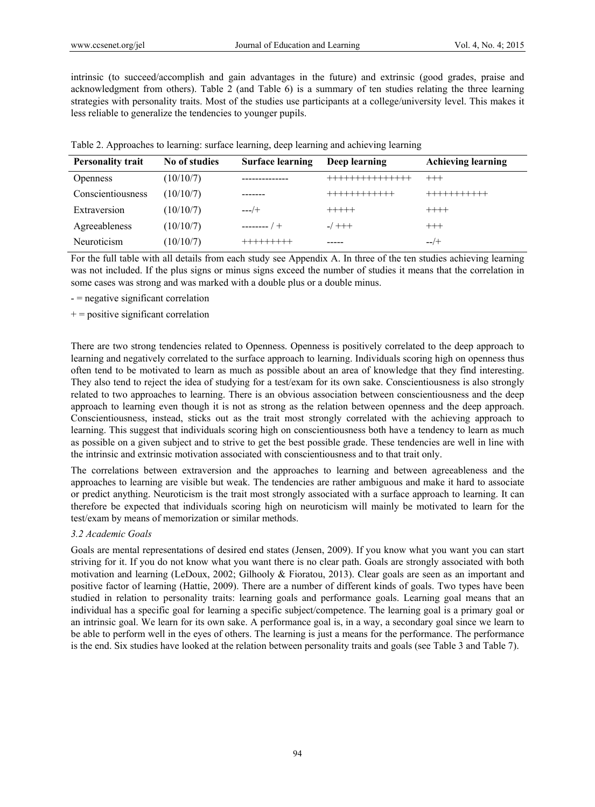intrinsic (to succeed/accomplish and gain advantages in the future) and extrinsic (good grades, praise and acknowledgment from others). Table 2 (and Table 6) is a summary of ten studies relating the three learning strategies with personality traits. Most of the studies use participants at a college/university level. This makes it less reliable to generalize the tendencies to younger pupils.

| <b>Personality trait</b> | No of studies | <b>Surface learning</b> | Deep learning  | <b>Achieving learning</b> |
|--------------------------|---------------|-------------------------|----------------|---------------------------|
| <b>Openness</b>          | (10/10/7)     | ------------            | ++++++++++++++ | $^{+++}$                  |
| Conscientiousness        | (10/10/7)     |                         | +++++++++++    | +++++++++++               |
| Extraversion             | (10/10/7)     | $--/+$                  | $+++++$        | $+++++$                   |
| Agreeableness            | (10/10/7)     | $------ 4 +$            | $-/-$          | $^{+++}$                  |
| Neuroticism              | (10/10/7)     | +++++++++               |                | $- - / +$                 |

Table 2. Approaches to learning: surface learning, deep learning and achieving learning

For the full table with all details from each study see Appendix A. In three of the ten studies achieving learning was not included. If the plus signs or minus signs exceed the number of studies it means that the correlation in some cases was strong and was marked with a double plus or a double minus.

- = negative significant correlation

 $+$  = positive significant correlation

There are two strong tendencies related to Openness. Openness is positively correlated to the deep approach to learning and negatively correlated to the surface approach to learning. Individuals scoring high on openness thus often tend to be motivated to learn as much as possible about an area of knowledge that they find interesting. They also tend to reject the idea of studying for a test/exam for its own sake. Conscientiousness is also strongly related to two approaches to learning. There is an obvious association between conscientiousness and the deep approach to learning even though it is not as strong as the relation between openness and the deep approach. Conscientiousness, instead, sticks out as the trait most strongly correlated with the achieving approach to learning. This suggest that individuals scoring high on conscientiousness both have a tendency to learn as much as possible on a given subject and to strive to get the best possible grade. These tendencies are well in line with the intrinsic and extrinsic motivation associated with conscientiousness and to that trait only.

The correlations between extraversion and the approaches to learning and between agreeableness and the approaches to learning are visible but weak. The tendencies are rather ambiguous and make it hard to associate or predict anything. Neuroticism is the trait most strongly associated with a surface approach to learning. It can therefore be expected that individuals scoring high on neuroticism will mainly be motivated to learn for the test/exam by means of memorization or similar methods.

### *3.2 Academic Goals*

Goals are mental representations of desired end states (Jensen, 2009). If you know what you want you can start striving for it. If you do not know what you want there is no clear path. Goals are strongly associated with both motivation and learning (LeDoux, 2002; Gilhooly & Fioratou, 2013). Clear goals are seen as an important and positive factor of learning (Hattie, 2009). There are a number of different kinds of goals. Two types have been studied in relation to personality traits: learning goals and performance goals. Learning goal means that an individual has a specific goal for learning a specific subject/competence. The learning goal is a primary goal or an intrinsic goal. We learn for its own sake. A performance goal is, in a way, a secondary goal since we learn to be able to perform well in the eyes of others. The learning is just a means for the performance. The performance is the end. Six studies have looked at the relation between personality traits and goals (see Table 3 and Table 7).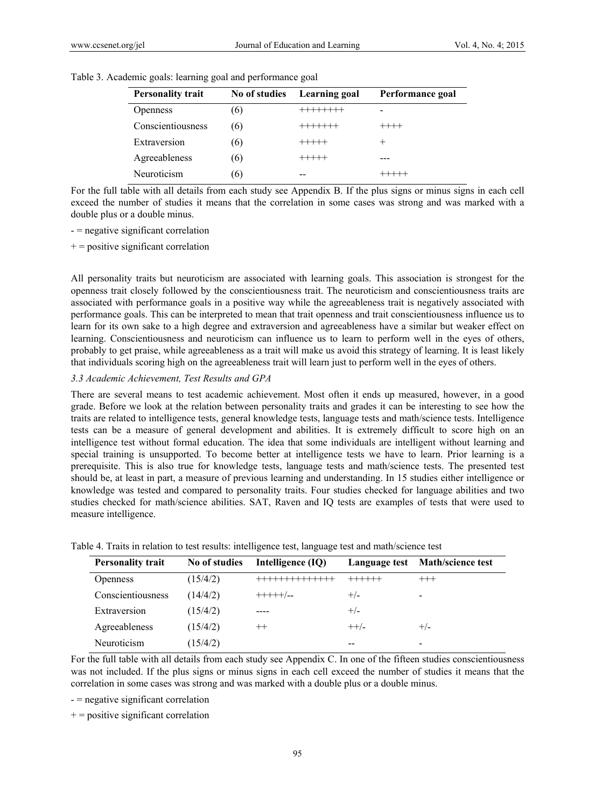| <b>Personality trait</b> | No of studies  | Learning goal | Performance goal |
|--------------------------|----------------|---------------|------------------|
| <b>Openness</b>          | (6)            | +++++++       |                  |
| Conscientiousness        | (6)            | $++++++$      | $++++-$          |
| Extraversion             | (6)            | $+++++$       | $^+$             |
| Agreeableness            | (6)            | $+++++$       |                  |
| Neuroticism              | $\mathfrak{b}$ |               |                  |

Table 3. Academic goals: learning goal and performance goal

For the full table with all details from each study see Appendix B. If the plus signs or minus signs in each cell exceed the number of studies it means that the correlation in some cases was strong and was marked with a double plus or a double minus.

- = negative significant correlation
- $+$  = positive significant correlation

All personality traits but neuroticism are associated with learning goals. This association is strongest for the openness trait closely followed by the conscientiousness trait. The neuroticism and conscientiousness traits are associated with performance goals in a positive way while the agreeableness trait is negatively associated with performance goals. This can be interpreted to mean that trait openness and trait conscientiousness influence us to learn for its own sake to a high degree and extraversion and agreeableness have a similar but weaker effect on learning. Conscientiousness and neuroticism can influence us to learn to perform well in the eyes of others, probably to get praise, while agreeableness as a trait will make us avoid this strategy of learning. It is least likely that individuals scoring high on the agreeableness trait will learn just to perform well in the eyes of others.

#### *3.3 Academic Achievement, Test Results and GPA*

There are several means to test academic achievement. Most often it ends up measured, however, in a good grade. Before we look at the relation between personality traits and grades it can be interesting to see how the traits are related to intelligence tests, general knowledge tests, language tests and math/science tests. Intelligence tests can be a measure of general development and abilities. It is extremely difficult to score high on an intelligence test without formal education. The idea that some individuals are intelligent without learning and special training is unsupported. To become better at intelligence tests we have to learn. Prior learning is a prerequisite. This is also true for knowledge tests, language tests and math/science tests. The presented test should be, at least in part, a measure of previous learning and understanding. In 15 studies either intelligence or knowledge was tested and compared to personality traits. Four studies checked for language abilities and two studies checked for math/science abilities. SAT, Raven and IQ tests are examples of tests that were used to measure intelligence.

| <b>Personality trait</b> | No of studies | Intelligence (IQ) | Language test | <b>Math/science test</b> |
|--------------------------|---------------|-------------------|---------------|--------------------------|
| Openness                 | (15/4/2)      |                   | $++++++$      | $^{+++}$                 |
| Conscientiousness        | (14/4/2)      | $++++-$           | $+/-$         | -                        |
| Extraversion             | (15/4/2)      |                   | $+/-$         |                          |
| Agreeableness            | (15/4/2)      | $^{++}$           | $++/-$        | $+/-$                    |
| Neuroticism              | (15/4/2)      |                   |               | -                        |

Table 4. Traits in relation to test results: intelligence test, language test and math/science test

For the full table with all details from each study see Appendix C. In one of the fifteen studies conscientiousness was not included. If the plus signs or minus signs in each cell exceed the number of studies it means that the correlation in some cases was strong and was marked with a double plus or a double minus.

- = negative significant correlation

 $+$  = positive significant correlation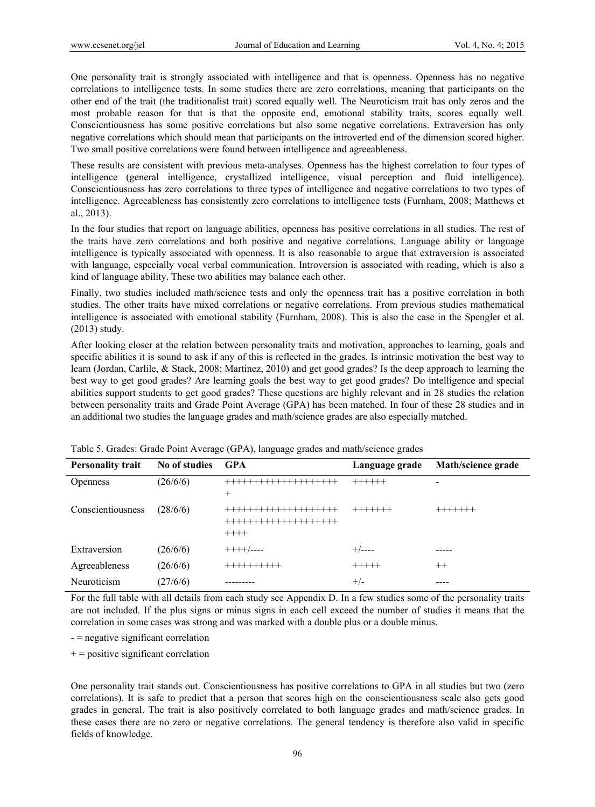One personality trait is strongly associated with intelligence and that is openness. Openness has no negative correlations to intelligence tests. In some studies there are zero correlations, meaning that participants on the other end of the trait (the traditionalist trait) scored equally well. The Neuroticism trait has only zeros and the most probable reason for that is that the opposite end, emotional stability traits, scores equally well. Conscientiousness has some positive correlations but also some negative correlations. Extraversion has only negative correlations which should mean that participants on the introverted end of the dimension scored higher. Two small positive correlations were found between intelligence and agreeableness.

These results are consistent with previous meta-analyses. Openness has the highest correlation to four types of intelligence (general intelligence, crystallized intelligence, visual perception and fluid intelligence). Conscientiousness has zero correlations to three types of intelligence and negative correlations to two types of intelligence. Agreeableness has consistently zero correlations to intelligence tests (Furnham, 2008; Matthews et al., 2013).

In the four studies that report on language abilities, openness has positive correlations in all studies. The rest of the traits have zero correlations and both positive and negative correlations. Language ability or language intelligence is typically associated with openness. It is also reasonable to argue that extraversion is associated with language, especially vocal verbal communication. Introversion is associated with reading, which is also a kind of language ability. These two abilities may balance each other.

Finally, two studies included math/science tests and only the openness trait has a positive correlation in both studies. The other traits have mixed correlations or negative correlations. From previous studies mathematical intelligence is associated with emotional stability (Furnham, 2008). This is also the case in the Spengler et al. (2013) study.

After looking closer at the relation between personality traits and motivation, approaches to learning, goals and specific abilities it is sound to ask if any of this is reflected in the grades. Is intrinsic motivation the best way to learn (Jordan, Carlile, & Stack, 2008; Martinez, 2010) and get good grades? Is the deep approach to learning the best way to get good grades? Are learning goals the best way to get good grades? Do intelligence and special abilities support students to get good grades? These questions are highly relevant and in 28 studies the relation between personality traits and Grade Point Average (GPA) has been matched. In four of these 28 studies and in an additional two studies the language grades and math/science grades are also especially matched.

| <b>Personality trait</b> | No of studies | <b>GPA</b>                                   | Language grade | Math/science grade |
|--------------------------|---------------|----------------------------------------------|----------------|--------------------|
| <b>Openness</b>          | (26/6/6)      | +++++++++++++++<br>$^{+}$                    | $+++++$        |                    |
| Conscientiousness        | (28/6/6)      | ++++++++++<br>+++++++++++++++++++<br>$+++++$ | $++++++$       | +++++++            |
| Extraversion             | (26/6/6)      | $++++/---$                                   | $+/----$       |                    |
| Agreeableness            | (26/6/6)      | ++++++++++                                   | $+++++$        | $^{++}$            |
| Neuroticism              | (27/6/6)      |                                              | $+/-$          |                    |

Table 5. Grades: Grade Point Average (GPA), language grades and math/science grades

For the full table with all details from each study see Appendix D. In a few studies some of the personality traits are not included. If the plus signs or minus signs in each cell exceed the number of studies it means that the correlation in some cases was strong and was marked with a double plus or a double minus.

- = negative significant correlation

 $+$  = positive significant correlation

One personality trait stands out. Conscientiousness has positive correlations to GPA in all studies but two (zero correlations). It is safe to predict that a person that scores high on the conscientiousness scale also gets good grades in general. The trait is also positively correlated to both language grades and math/science grades. In these cases there are no zero or negative correlations. The general tendency is therefore also valid in specific fields of knowledge.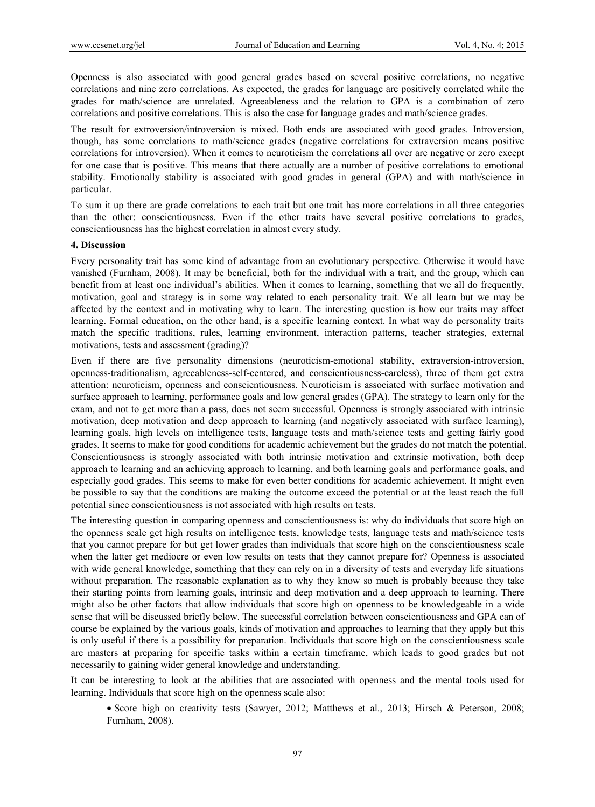Openness is also associated with good general grades based on several positive correlations, no negative correlations and nine zero correlations. As expected, the grades for language are positively correlated while the grades for math/science are unrelated. Agreeableness and the relation to GPA is a combination of zero correlations and positive correlations. This is also the case for language grades and math/science grades.

The result for extroversion/introversion is mixed. Both ends are associated with good grades. Introversion, though, has some correlations to math/science grades (negative correlations for extraversion means positive correlations for introversion). When it comes to neuroticism the correlations all over are negative or zero except for one case that is positive. This means that there actually are a number of positive correlations to emotional stability. Emotionally stability is associated with good grades in general (GPA) and with math/science in particular.

To sum it up there are grade correlations to each trait but one trait has more correlations in all three categories than the other: conscientiousness. Even if the other traits have several positive correlations to grades, conscientiousness has the highest correlation in almost every study.

#### **4. Discussion**

Every personality trait has some kind of advantage from an evolutionary perspective. Otherwise it would have vanished (Furnham, 2008). It may be beneficial, both for the individual with a trait, and the group, which can benefit from at least one individual's abilities. When it comes to learning, something that we all do frequently, motivation, goal and strategy is in some way related to each personality trait. We all learn but we may be affected by the context and in motivating why to learn. The interesting question is how our traits may affect learning. Formal education, on the other hand, is a specific learning context. In what way do personality traits match the specific traditions, rules, learning environment, interaction patterns, teacher strategies, external motivations, tests and assessment (grading)?

Even if there are five personality dimensions (neuroticism-emotional stability, extraversion-introversion, openness-traditionalism, agreeableness-self-centered, and conscientiousness-careless), three of them get extra attention: neuroticism, openness and conscientiousness. Neuroticism is associated with surface motivation and surface approach to learning, performance goals and low general grades (GPA). The strategy to learn only for the exam, and not to get more than a pass, does not seem successful. Openness is strongly associated with intrinsic motivation, deep motivation and deep approach to learning (and negatively associated with surface learning), learning goals, high levels on intelligence tests, language tests and math/science tests and getting fairly good grades. It seems to make for good conditions for academic achievement but the grades do not match the potential. Conscientiousness is strongly associated with both intrinsic motivation and extrinsic motivation, both deep approach to learning and an achieving approach to learning, and both learning goals and performance goals, and especially good grades. This seems to make for even better conditions for academic achievement. It might even be possible to say that the conditions are making the outcome exceed the potential or at the least reach the full potential since conscientiousness is not associated with high results on tests.

The interesting question in comparing openness and conscientiousness is: why do individuals that score high on the openness scale get high results on intelligence tests, knowledge tests, language tests and math/science tests that you cannot prepare for but get lower grades than individuals that score high on the conscientiousness scale when the latter get mediocre or even low results on tests that they cannot prepare for? Openness is associated with wide general knowledge, something that they can rely on in a diversity of tests and everyday life situations without preparation. The reasonable explanation as to why they know so much is probably because they take their starting points from learning goals, intrinsic and deep motivation and a deep approach to learning. There might also be other factors that allow individuals that score high on openness to be knowledgeable in a wide sense that will be discussed briefly below. The successful correlation between conscientiousness and GPA can of course be explained by the various goals, kinds of motivation and approaches to learning that they apply but this is only useful if there is a possibility for preparation. Individuals that score high on the conscientiousness scale are masters at preparing for specific tasks within a certain timeframe, which leads to good grades but not necessarily to gaining wider general knowledge and understanding.

It can be interesting to look at the abilities that are associated with openness and the mental tools used for learning. Individuals that score high on the openness scale also:

 Score high on creativity tests (Sawyer, 2012; Matthews et al., 2013; Hirsch & Peterson, 2008; Furnham, 2008).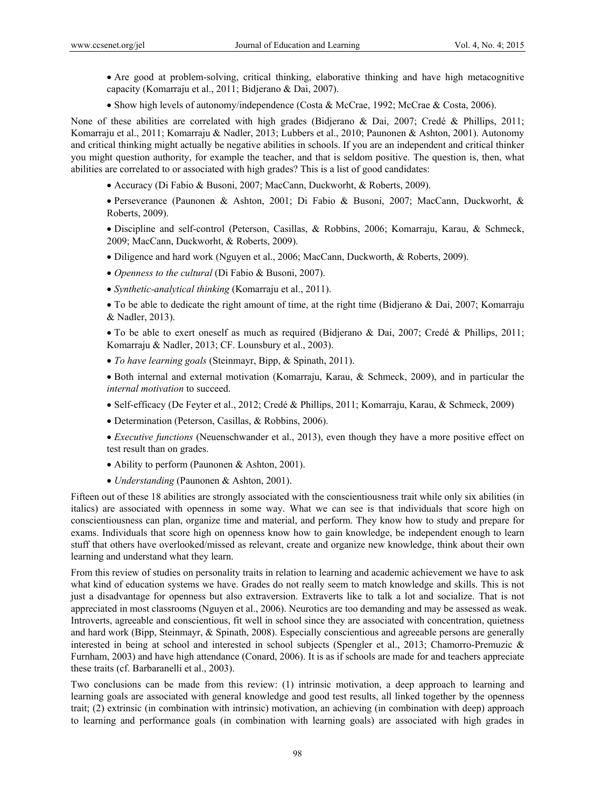Are good at problem-solving, critical thinking, elaborative thinking and have high metacognitive capacity (Komarraju et al., 2011; Bidjerano & Dai, 2007).

• Show high levels of autonomy/independence (Costa & McCrae, 1992; McCrae & Costa, 2006).

None of these abilities are correlated with high grades (Bidjerano & Dai, 2007; Credé & Phillips, 2011; Komarraju et al., 2011; Komarraju & Nadler, 2013; Lubbers et al., 2010; Paunonen & Ashton, 2001). Autonomy and critical thinking might actually be negative abilities in schools. If you are an independent and critical thinker you might question authority, for example the teacher, and that is seldom positive. The question is, then, what abilities are correlated to or associated with high grades? This is a list of good candidates:

Accuracy (Di Fabio & Busoni, 2007; MacCann, Duckworht, & Roberts, 2009).

 Perseverance (Paunonen & Ashton, 2001; Di Fabio & Busoni, 2007; MacCann, Duckworht, & Roberts, 2009).

 Discipline and self-control (Peterson, Casillas, & Robbins, 2006; Komarraju, Karau, & Schmeck, 2009; MacCann, Duckworht, & Roberts, 2009).

- Diligence and hard work (Nguyen et al., 2006; MacCann, Duckworth, & Roberts, 2009).
- *Openness to the cultural* (Di Fabio & Busoni, 2007).
- *Synthetic-analytical thinking* (Komarraju et al., 2011).

 To be able to dedicate the right amount of time, at the right time (Bidjerano & Dai, 2007; Komarraju & Nadler, 2013).

 To be able to exert oneself as much as required (Bidjerano & Dai, 2007; Credé & Phillips, 2011; Komarraju & Nadler, 2013; CF. Lounsbury et al., 2003).

*To have learning goals* (Steinmayr, Bipp, & Spinath, 2011).

• Both internal and external motivation (Komarraju, Karau, & Schmeck, 2009), and in particular the *internal motivation* to succeed.

- Self-efficacy (De Feyter et al., 2012; Credé & Phillips, 2011; Komarraju, Karau, & Schmeck, 2009)
- Determination (Peterson, Casillas, & Robbins, 2006).

 *Executive functions* (Neuenschwander et al., 2013), even though they have a more positive effect on test result than on grades.

- Ability to perform (Paunonen & Ashton, 2001).
- *Understanding* (Paunonen & Ashton, 2001).

Fifteen out of these 18 abilities are strongly associated with the conscientiousness trait while only six abilities (in italics) are associated with openness in some way. What we can see is that individuals that score high on conscientiousness can plan, organize time and material, and perform. They know how to study and prepare for exams. Individuals that score high on openness know how to gain knowledge, be independent enough to learn stuff that others have overlooked/missed as relevant, create and organize new knowledge, think about their own learning and understand what they learn.

From this review of studies on personality traits in relation to learning and academic achievement we have to ask what kind of education systems we have. Grades do not really seem to match knowledge and skills. This is not just a disadvantage for openness but also extraversion. Extraverts like to talk a lot and socialize. That is not appreciated in most classrooms (Nguyen et al., 2006). Neurotics are too demanding and may be assessed as weak. Introverts, agreeable and conscientious, fit well in school since they are associated with concentration, quietness and hard work (Bipp, Steinmayr, & Spinath, 2008). Especially conscientious and agreeable persons are generally interested in being at school and interested in school subjects (Spengler et al., 2013; Chamorro-Premuzic & Furnham, 2003) and have high attendance (Conard, 2006). It is as if schools are made for and teachers appreciate these traits (cf. Barbaranelli et al., 2003).

Two conclusions can be made from this review: (1) intrinsic motivation, a deep approach to learning and learning goals are associated with general knowledge and good test results, all linked together by the openness trait; (2) extrinsic (in combination with intrinsic) motivation, an achieving (in combination with deep) approach to learning and performance goals (in combination with learning goals) are associated with high grades in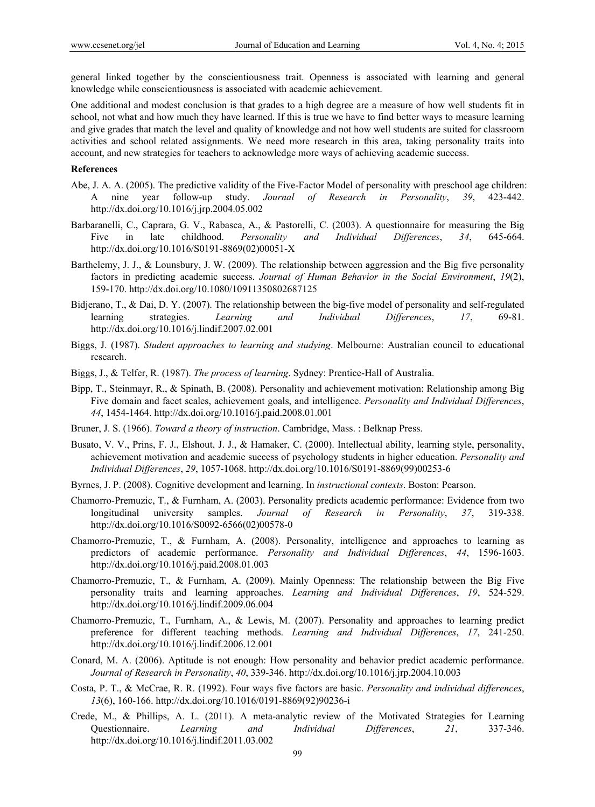general linked together by the conscientiousness trait. Openness is associated with learning and general knowledge while conscientiousness is associated with academic achievement.

One additional and modest conclusion is that grades to a high degree are a measure of how well students fit in school, not what and how much they have learned. If this is true we have to find better ways to measure learning and give grades that match the level and quality of knowledge and not how well students are suited for classroom activities and school related assignments. We need more research in this area, taking personality traits into account, and new strategies for teachers to acknowledge more ways of achieving academic success.

#### **References**

- Abe, J. A. A. (2005). The predictive validity of the Five-Factor Model of personality with preschool age children: A nine year follow-up study. *Journal of Research in Personality*, *39*, 423-442. http://dx.doi.org/10.1016/j.jrp.2004.05.002
- Barbaranelli, C., Caprara, G. V., Rabasca, A., & Pastorelli, C. (2003). A questionnaire for measuring the Big Five in late childhood. *Personality and Individual Differences*, *34*, 645-664. http://dx.doi.org/10.1016/S0191-8869(02)00051-X
- Barthelemy, J. J., & Lounsbury, J. W. (2009). The relationship between aggression and the Big five personality factors in predicting academic success. *Journal of Human Behavior in the Social Environment*, *19*(2), 159-170. http://dx.doi.org/10.1080/10911350802687125
- Bidjerano, T., & Dai, D. Y. (2007). The relationship between the big-five model of personality and self-regulated learning strategies. *Learning and Individual Differences*, *17*, 69-81. http://dx.doi.org/10.1016/j.lindif.2007.02.001
- Biggs, J. (1987). *Student approaches to learning and studying*. Melbourne: Australian council to educational research.
- Biggs, J., & Telfer, R. (1987). *The process of learning*. Sydney: Prentice-Hall of Australia.
- Bipp, T., Steinmayr, R., & Spinath, B. (2008). Personality and achievement motivation: Relationship among Big Five domain and facet scales, achievement goals, and intelligence. *Personality and Individual Differences*, *44*, 1454-1464. http://dx.doi.org/10.1016/j.paid.2008.01.001
- Bruner, J. S. (1966). *Toward a theory of instruction*. Cambridge, Mass. : Belknap Press.
- Busato, V. V., Prins, F. J., Elshout, J. J., & Hamaker, C. (2000). Intellectual ability, learning style, personality, achievement motivation and academic success of psychology students in higher education. *Personality and Individual Differences*, *29*, 1057-1068. http://dx.doi.org/10.1016/S0191-8869(99)00253-6
- Byrnes, J. P. (2008). Cognitive development and learning. In *instructional contexts*. Boston: Pearson.
- Chamorro-Premuzic, T., & Furnham, A. (2003). Personality predicts academic performance: Evidence from two longitudinal university samples. *Journal of Research in Personality*, *37*, 319-338. http://dx.doi.org/10.1016/S0092-6566(02)00578-0
- Chamorro-Premuzic, T., & Furnham, A. (2008). Personality, intelligence and approaches to learning as predictors of academic performance. *Personality and Individual Differences*, *44*, 1596-1603. http://dx.doi.org/10.1016/j.paid.2008.01.003
- Chamorro-Premuzic, T., & Furnham, A. (2009). Mainly Openness: The relationship between the Big Five personality traits and learning approaches. *Learning and Individual Differences*, *19*, 524-529. http://dx.doi.org/10.1016/j.lindif.2009.06.004
- Chamorro-Premuzic, T., Furnham, A., & Lewis, M. (2007). Personality and approaches to learning predict preference for different teaching methods. *Learning and Individual Differences*, *17*, 241-250. http://dx.doi.org/10.1016/j.lindif.2006.12.001
- Conard, M. A. (2006). Aptitude is not enough: How personality and behavior predict academic performance. *Journal of Research in Personality*, *40*, 339-346. http://dx.doi.org/10.1016/j.jrp.2004.10.003
- Costa, P. T., & McCrae, R. R. (1992). Four ways five factors are basic. *Personality and individual differences*, *13*(6), 160-166. http://dx.doi.org/10.1016/0191-8869(92)90236-i
- Crede, M., & Phillips, A. L. (2011). A meta-analytic review of the Motivated Strategies for Learning Questionnaire. *Learning and Individual Differences*, *21*, 337-346. http://dx.doi.org/10.1016/j.lindif.2011.03.002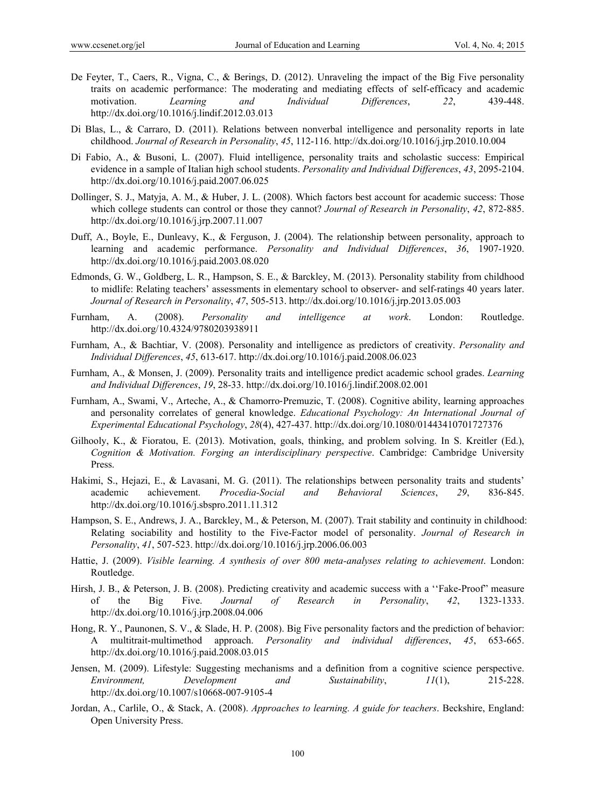- De Feyter, T., Caers, R., Vigna, C., & Berings, D. (2012). Unraveling the impact of the Big Five personality traits on academic performance: The moderating and mediating effects of self-efficacy and academic motivation. *Learning and Individual Differences*, *22*, 439-448. http://dx.doi.org/10.1016/j.lindif.2012.03.013
- Di Blas, L., & Carraro, D. (2011). Relations between nonverbal intelligence and personality reports in late childhood. *Journal of Research in Personality*, *45*, 112-116. http://dx.doi.org/10.1016/j.jrp.2010.10.004
- Di Fabio, A., & Busoni, L. (2007). Fluid intelligence, personality traits and scholastic success: Empirical evidence in a sample of Italian high school students. *Personality and Individual Differences*, *43*, 2095-2104. http://dx.doi.org/10.1016/j.paid.2007.06.025
- Dollinger, S. J., Matyja, A. M., & Huber, J. L. (2008). Which factors best account for academic success: Those which college students can control or those they cannot? *Journal of Research in Personality*, *42*, 872-885. http://dx.doi.org/10.1016/j.jrp.2007.11.007
- Duff, A., Boyle, E., Dunleavy, K., & Ferguson, J. (2004). The relationship between personality, approach to learning and academic performance. *Personality and Individual Differences*, *36*, 1907-1920. http://dx.doi.org/10.1016/j.paid.2003.08.020
- Edmonds, G. W., Goldberg, L. R., Hampson, S. E., & Barckley, M. (2013). Personality stability from childhood to midlife: Relating teachers' assessments in elementary school to observer- and self-ratings 40 years later. *Journal of Research in Personality*, *47*, 505-513. http://dx.doi.org/10.1016/j.jrp.2013.05.003
- Furnham, A. (2008). *Personality and intelligence at work*. London: Routledge. http://dx.doi.org/10.4324/9780203938911
- Furnham, A., & Bachtiar, V. (2008). Personality and intelligence as predictors of creativity. *Personality and Individual Differences*, *45*, 613-617. http://dx.doi.org/10.1016/j.paid.2008.06.023
- Furnham, A., & Monsen, J. (2009). Personality traits and intelligence predict academic school grades. *Learning and Individual Differences*, *19*, 28-33. http://dx.doi.org/10.1016/j.lindif.2008.02.001
- Furnham, A., Swami, V., Arteche, A., & Chamorro‐Premuzic, T. (2008). Cognitive ability, learning approaches and personality correlates of general knowledge. *Educational Psychology: An International Journal of Experimental Educational Psychology*, *28*(4), 427-437. http://dx.doi.org/10.1080/01443410701727376
- Gilhooly, K., & Fioratou, E. (2013). Motivation, goals, thinking, and problem solving. In S. Kreitler (Ed.), *Cognition & Motivation. Forging an interdisciplinary perspective*. Cambridge: Cambridge University Press.
- Hakimi, S., Hejazi, E., & Lavasani, M. G. (2011). The relationships between personality traits and students' academic achievement. *Procedia-Social and Behavioral Sciences*, *29*, 836-845. http://dx.doi.org/10.1016/j.sbspro.2011.11.312
- Hampson, S. E., Andrews, J. A., Barckley, M., & Peterson, M. (2007). Trait stability and continuity in childhood: Relating sociability and hostility to the Five-Factor model of personality. *Journal of Research in Personality*, *41*, 507-523. http://dx.doi.org/10.1016/j.jrp.2006.06.003
- Hattie, J. (2009). *Visible learning. A synthesis of over 800 meta-analyses relating to achievement*. London: Routledge.
- Hirsh, J. B., & Peterson, J. B. (2008). Predicting creativity and academic success with a ''Fake-Proof" measure of the Big Five. *Journal of Research in Personality*, *42*, 1323-1333. http://dx.doi.org/10.1016/j.jrp.2008.04.006
- Hong, R. Y., Paunonen, S. V., & Slade, H. P. (2008). Big Five personality factors and the prediction of behavior: A multitrait-multimethod approach. *Personality and individual differences*, *45*, 653-665. http://dx.doi.org/10.1016/j.paid.2008.03.015
- Jensen, M. (2009). Lifestyle: Suggesting mechanisms and a definition from a cognitive science perspective. *Environment, Development and Sustainability*, *11*(1), 215-228. http://dx.doi.org/10.1007/s10668-007-9105-4
- Jordan, A., Carlile, O., & Stack, A. (2008). *Approaches to learning. A guide for teachers*. Beckshire, England: Open University Press.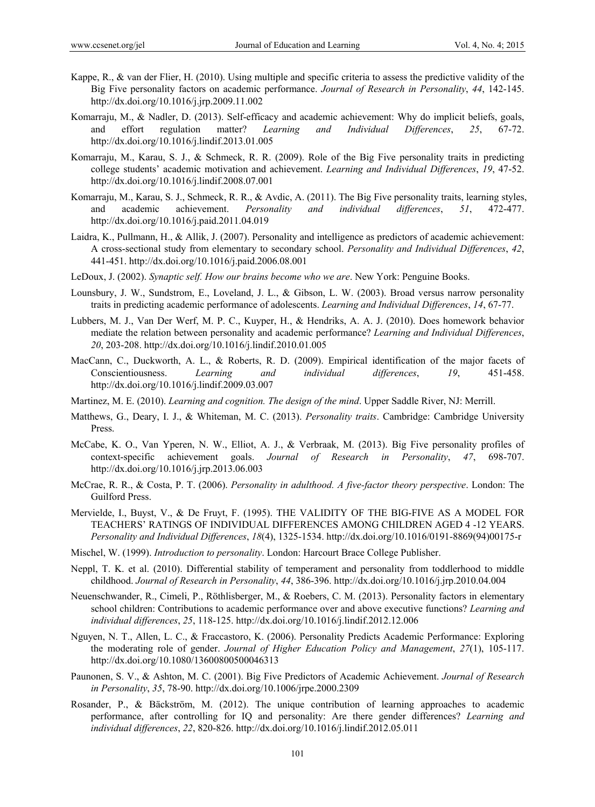- Kappe, R., & van der Flier, H. (2010). Using multiple and specific criteria to assess the predictive validity of the Big Five personality factors on academic performance. *Journal of Research in Personality*, *44*, 142-145. http://dx.doi.org/10.1016/j.jrp.2009.11.002
- Komarraju, M., & Nadler, D. (2013). Self-efficacy and academic achievement: Why do implicit beliefs, goals, and effort regulation matter? *Learning and Individual Differences*, *25*, 67-72. http://dx.doi.org/10.1016/j.lindif.2013.01.005
- Komarraju, M., Karau, S. J., & Schmeck, R. R. (2009). Role of the Big Five personality traits in predicting college students' academic motivation and achievement. *Learning and Individual Differences*, *19*, 47-52. http://dx.doi.org/10.1016/j.lindif.2008.07.001
- Komarraju, M., Karau, S. J., Schmeck, R. R., & Avdic, A. (2011). The Big Five personality traits, learning styles, and academic achievement. *Personality and individual differences*, *51*, 472-477. http://dx.doi.org/10.1016/j.paid.2011.04.019
- Laidra, K., Pullmann, H., & Allik, J. (2007). Personality and intelligence as predictors of academic achievement: A cross-sectional study from elementary to secondary school. *Personality and Individual Differences*, *42*, 441-451. http://dx.doi.org/10.1016/j.paid.2006.08.001
- LeDoux, J. (2002). *Synaptic self. How our brains become who we are*. New York: Penguine Books.
- Lounsbury, J. W., Sundstrom, E., Loveland, J. L., & Gibson, L. W. (2003). Broad versus narrow personality traits in predicting academic performance of adolescents. *Learning and Individual Differences*, *14*, 67-77.
- Lubbers, M. J., Van Der Werf, M. P. C., Kuyper, H., & Hendriks, A. A. J. (2010). Does homework behavior mediate the relation between personality and academic performance? *Learning and Individual Differences*, *20*, 203-208. http://dx.doi.org/10.1016/j.lindif.2010.01.005
- MacCann, C., Duckworth, A. L., & Roberts, R. D. (2009). Empirical identification of the major facets of Conscientiousness. *Learning and individual differences*, *19*, 451-458. http://dx.doi.org/10.1016/j.lindif.2009.03.007
- Martinez, M. E. (2010). *Learning and cognition. The design of the mind*. Upper Saddle River, NJ: Merrill.
- Matthews, G., Deary, I. J., & Whiteman, M. C. (2013). *Personality traits*. Cambridge: Cambridge University Press.
- McCabe, K. O., Van Yperen, N. W., Elliot, A. J., & Verbraak, M. (2013). Big Five personality profiles of context-specific achievement goals. *Journal of Research in Personality*, *47*, 698-707. http://dx.doi.org/10.1016/j.jrp.2013.06.003
- McCrae, R. R., & Costa, P. T. (2006). *Personality in adulthood. A five-factor theory perspective*. London: The Guilford Press.
- Mervielde, I., Buyst, V., & De Fruyt, F. (1995). THE VALIDITY OF THE BIG-FIVE AS A MODEL FOR TEACHERS' RATINGS OF INDIVIDUAL DIFFERENCES AMONG CHILDREN AGED 4 -12 YEARS. *Personality and Individual Differences*, *18*(4), 1325-1534. http://dx.doi.org/10.1016/0191-8869(94)00175-r
- Mischel, W. (1999). *Introduction to personality*. London: Harcourt Brace College Publisher.
- Neppl, T. K. et al. (2010). Differential stability of temperament and personality from toddlerhood to middle childhood. *Journal of Research in Personality*, *44*, 386-396. http://dx.doi.org/10.1016/j.jrp.2010.04.004
- Neuenschwander, R., Cimeli, P., Röthlisberger, M., & Roebers, C. M. (2013). Personality factors in elementary school children: Contributions to academic performance over and above executive functions? *Learning and individual differences*, *25*, 118-125. http://dx.doi.org/10.1016/j.lindif.2012.12.006
- Nguyen, N. T., Allen, L. C., & Fraccastoro, K. (2006). Personality Predicts Academic Performance: Exploring the moderating role of gender. *Journal of Higher Education Policy and Management*, *27*(1), 105-117. http://dx.doi.org/10.1080/13600800500046313
- Paunonen, S. V., & Ashton, M. C. (2001). Big Five Predictors of Academic Achievement. *Journal of Research in Personality*, *35*, 78-90. http://dx.doi.org/10.1006/jrpe.2000.2309
- Rosander, P., & Bäckström, M. (2012). The unique contribution of learning approaches to academic performance, after controlling for IQ and personality: Are there gender differences? *Learning and individual differences*, *22*, 820-826. http://dx.doi.org/10.1016/j.lindif.2012.05.011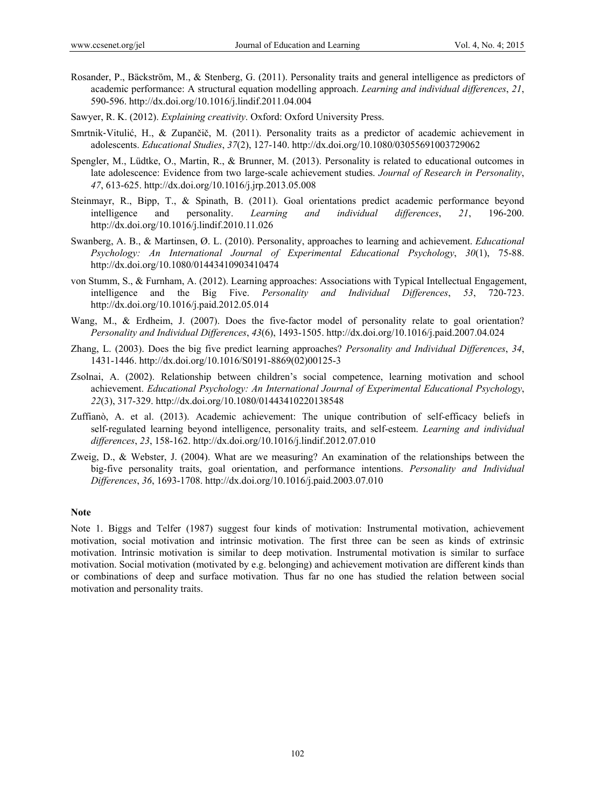- Rosander, P., Bäckström, M., & Stenberg, G. (2011). Personality traits and general intelligence as predictors of academic performance: A structural equation modelling approach. *Learning and individual differences*, *21*, 590-596. http://dx.doi.org/10.1016/j.lindif.2011.04.004
- Sawyer, R. K. (2012). *Explaining creativity*. Oxford: Oxford University Press.
- Smrtnik‐Vitulić, H., & Zupančič, M. (2011). Personality traits as a predictor of academic achievement in adolescents. *Educational Studies*, *37*(2), 127-140. http://dx.doi.org/10.1080/03055691003729062
- Spengler, M., Lüdtke, O., Martin, R., & Brunner, M. (2013). Personality is related to educational outcomes in late adolescence: Evidence from two large-scale achievement studies. *Journal of Research in Personality*, *47*, 613-625. http://dx.doi.org/10.1016/j.jrp.2013.05.008
- Steinmayr, R., Bipp, T., & Spinath, B. (2011). Goal orientations predict academic performance beyond intelligence and personality. *Learning and individual differences*, *21*, 196-200. http://dx.doi.org/10.1016/j.lindif.2010.11.026
- Swanberg, A. B., & Martinsen, Ø. L. (2010). Personality, approaches to learning and achievement. *Educational Psychology: An International Journal of Experimental Educational Psychology*, *30*(1), 75-88. http://dx.doi.org/10.1080/01443410903410474
- von Stumm, S., & Furnham, A. (2012). Learning approaches: Associations with Typical Intellectual Engagement, intelligence and the Big Five. *Personality and Individual Differences*, *53*, 720-723. http://dx.doi.org/10.1016/j.paid.2012.05.014
- Wang, M., & Erdheim, J. (2007). Does the five-factor model of personality relate to goal orientation? *Personality and Individual Differences*, *43*(6), 1493-1505. http://dx.doi.org/10.1016/j.paid.2007.04.024
- Zhang, L. (2003). Does the big five predict learning approaches? *Personality and Individual Differences*, *34*, 1431-1446. http://dx.doi.org/10.1016/S0191-8869(02)00125-3
- Zsolnai, A. (2002). Relationship between children's social competence, learning motivation and school achievement. *Educational Psychology: An International Journal of Experimental Educational Psychology*, *22*(3), 317-329. http://dx.doi.org/10.1080/01443410220138548
- Zuffianò, A. et al. (2013). Academic achievement: The unique contribution of self-efficacy beliefs in self-regulated learning beyond intelligence, personality traits, and self-esteem. *Learning and individual differences*, *23*, 158-162. http://dx.doi.org/10.1016/j.lindif.2012.07.010
- Zweig, D., & Webster, J. (2004). What are we measuring? An examination of the relationships between the big-five personality traits, goal orientation, and performance intentions. *Personality and Individual Differences*, *36*, 1693-1708. http://dx.doi.org/10.1016/j.paid.2003.07.010

#### **Note**

Note 1. Biggs and Telfer (1987) suggest four kinds of motivation: Instrumental motivation, achievement motivation, social motivation and intrinsic motivation. The first three can be seen as kinds of extrinsic motivation. Intrinsic motivation is similar to deep motivation. Instrumental motivation is similar to surface motivation. Social motivation (motivated by e.g. belonging) and achievement motivation are different kinds than or combinations of deep and surface motivation. Thus far no one has studied the relation between social motivation and personality traits.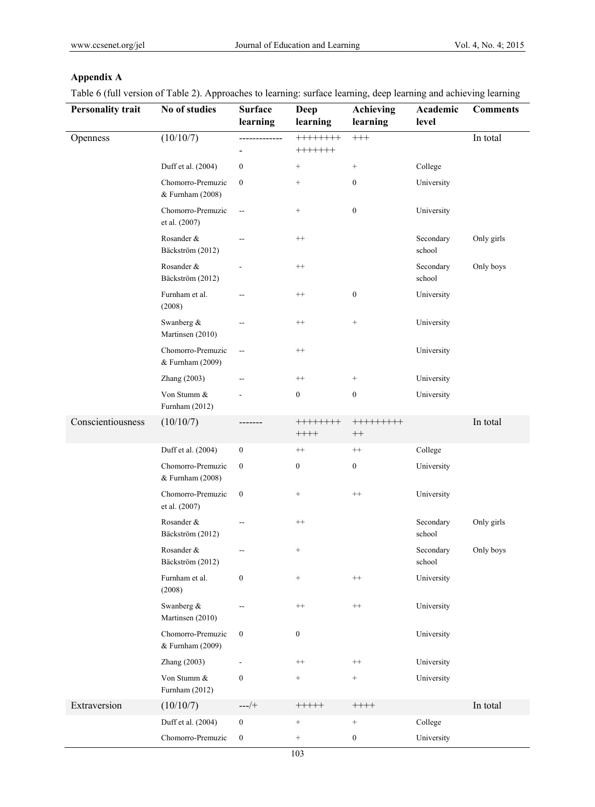# **Appendix A**

Table 6 (full version of Table 2). Approaches to learning: surface learning, deep learning and achieving learning

| <b>Personality trait</b> | No of studies                         | <b>Surface</b><br>learning | Deep<br>learning     | <b>Achieving</b><br>learning | Academic<br>level   | <b>Comments</b> |
|--------------------------|---------------------------------------|----------------------------|----------------------|------------------------------|---------------------|-----------------|
| Openness                 | (10/10/7)                             | ---------                  | $++++++$<br>$++++++$ | $++++ \label{eq:2}$          |                     | In total        |
|                          | Duff et al. (2004)                    | $\boldsymbol{0}$           | $\qquad \qquad +$    | $^+$                         | College             |                 |
|                          | Chomorro-Premuzic<br>& Furnham (2008) | $\boldsymbol{0}$           | $\qquad \qquad +$    | $\boldsymbol{0}$             | University          |                 |
|                          | Chomorro-Premuzic<br>et al. (2007)    | $\overline{\phantom{a}}$   | $\qquad \qquad +$    | $\boldsymbol{0}$             | University          |                 |
|                          | Rosander &<br>Bäckström (2012)        | --                         | $++$                 |                              | Secondary<br>school | Only girls      |
|                          | Rosander &<br>Bäckström (2012)        |                            | $++$                 |                              | Secondary<br>school | Only boys       |
|                          | Furnham et al.<br>(2008)              |                            | $^{++}$              | $\boldsymbol{0}$             | University          |                 |
|                          | Swanberg &<br>Martinsen (2010)        | --                         | $++$                 |                              | University          |                 |
|                          | Chomorro-Premuzic<br>& Furnham (2009) | --                         | $++$                 |                              | University          |                 |
|                          | Zhang (2003)                          |                            | $^{++}$              | $^+$                         | University          |                 |
|                          | Von Stumm &<br>Furnham (2012)         |                            | $\boldsymbol{0}$     | $\boldsymbol{0}$             | University          |                 |
| Conscientiousness        | (10/10/7)                             |                            | $++++++$             | $++++++++$                   |                     | In total        |
|                          |                                       |                            | $+++++$              | $++$                         |                     |                 |
|                          | Duff et al. (2004)                    | $\boldsymbol{0}$           | $^{++}$              | $^{++}\,$                    | College             |                 |
|                          | Chomorro-Premuzic<br>& Furnham (2008) | $\boldsymbol{0}$           | $\boldsymbol{0}$     | $\boldsymbol{0}$             | University          |                 |
|                          | Chomorro-Premuzic<br>et al. (2007)    | $\boldsymbol{0}$           | $\qquad \qquad +$    | $++$                         | University          |                 |
|                          | Rosander &<br>Bäckström (2012)        |                            | $^{++}$              |                              | Secondary<br>school | Only girls      |
|                          | Rosander &<br>Bäckström (2012)        |                            | $\! + \!\!\!$        |                              | Secondary<br>school | Only boys       |
|                          | Furnham et al.<br>(2008)              | $\boldsymbol{0}$           | $\! + \!\!\!\!$      | $++$                         | University          |                 |
|                          | Swanberg &<br>Martinsen (2010)        |                            | $^{++}$              | $^{++}\,$                    | University          |                 |
|                          | Chomorro-Premuzic<br>& Furnham (2009) | $\boldsymbol{0}$           | $\boldsymbol{0}$     |                              | University          |                 |
|                          | Zhang (2003)                          |                            | $++$                 | $++$                         | University          |                 |
|                          | Von Stumm &<br>Furnham (2012)         | $\boldsymbol{0}$           | $\qquad \qquad +$    | $\! + \!\!\!\!$              | University          |                 |
| Extraversion             | (10/10/7)                             | $--/+$                     | $+++++$              | $+++++$                      |                     | In total        |
|                          | Duff et al. (2004)                    | $\boldsymbol{0}$           | $\qquad \qquad +$    | $^+$                         | College             |                 |
|                          | Chomorro-Premuzic                     | $\boldsymbol{0}$           | $\! + \!\!\!\!$      | $\boldsymbol{0}$             | University          |                 |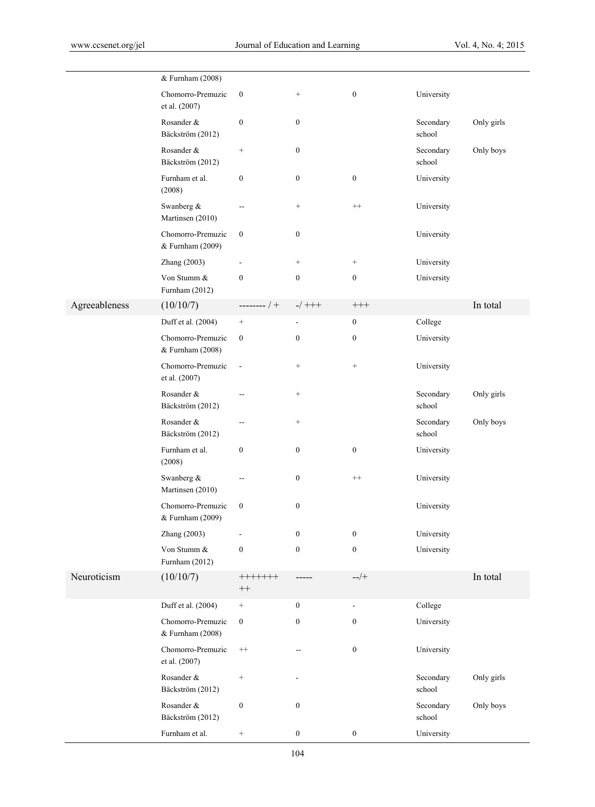|               | & Furnham (2008)                      |                          |                   |                          |                     |            |
|---------------|---------------------------------------|--------------------------|-------------------|--------------------------|---------------------|------------|
|               | Chomorro-Premuzic<br>et al. (2007)    | $\boldsymbol{0}$         | $+$               | $\boldsymbol{0}$         | University          |            |
|               | Rosander &<br>Bäckström (2012)        | $\boldsymbol{0}$         | $\boldsymbol{0}$  |                          | Secondary<br>school | Only girls |
|               | Rosander &<br>Bäckström (2012)        | $+$                      | $\boldsymbol{0}$  |                          | Secondary<br>school | Only boys  |
|               | Furnham et al.<br>(2008)              | $\boldsymbol{0}$         | $\boldsymbol{0}$  | $\boldsymbol{0}$         | University          |            |
|               | Swanberg &<br>Martinsen (2010)        | --                       | $\qquad \qquad +$ | $++$                     | University          |            |
|               | Chomorro-Premuzic<br>& Furnham (2009) | $\boldsymbol{0}$         | $\boldsymbol{0}$  |                          | University          |            |
|               | Zhang (2003)                          | $\overline{\phantom{a}}$ | $\! + \!\!\!\!$   | $\! + \!\!\!\!$          | University          |            |
|               | Von Stumm &<br>Furnham (2012)         | $\boldsymbol{0}$         | $\boldsymbol{0}$  | $\boldsymbol{0}$         | University          |            |
| Agreeableness | (10/10/7)                             | -------- / $+$           | $-/-$             | $^{+++}$                 |                     | In total   |
|               | Duff et al. (2004)                    | $\! + \!\!\!\!$          |                   | $\boldsymbol{0}$         | College             |            |
|               | Chomorro-Premuzic<br>& Furnham (2008) | $\boldsymbol{0}$         | $\mathbf{0}$      | $\boldsymbol{0}$         | University          |            |
|               | Chomorro-Premuzic<br>et al. (2007)    | $\overline{\phantom{a}}$ | $+$               | $^{+}$                   | University          |            |
|               | Rosander &<br>Bäckström (2012)        |                          | $+$               |                          | Secondary<br>school | Only girls |
|               | Rosander &<br>Bäckström (2012)        | --                       | $\! + \!\!\!$     |                          | Secondary<br>school | Only boys  |
|               | Furnham et al.<br>(2008)              | $\boldsymbol{0}$         | $\boldsymbol{0}$  | $\boldsymbol{0}$         | University          |            |
|               | Swanberg &<br>Martinsen (2010)        |                          | $\boldsymbol{0}$  | $++$                     | University          |            |
|               | Chomorro-Premuzic<br>& Furnham (2009) | $\boldsymbol{0}$         | $\mathbf{0}$      |                          | University          |            |
|               | Zhang (2003)                          |                          | $\boldsymbol{0}$  | $\boldsymbol{0}$         | University          |            |
|               | Von Stumm &<br>Furnham (2012)         | $\boldsymbol{0}$         | $\boldsymbol{0}$  | $\boldsymbol{0}$         | University          |            |
| Neuroticism   | (10/10/7)                             | $++++++$<br>$^{++}\,$    |                   | $-$ /+                   |                     | In total   |
|               | Duff et al. (2004)                    | $^+$                     | $\boldsymbol{0}$  | $\overline{\phantom{a}}$ | College             |            |
|               | Chomorro-Premuzic<br>& Furnham (2008) | $\boldsymbol{0}$         | $\boldsymbol{0}$  | $\boldsymbol{0}$         | University          |            |
|               | Chomorro-Premuzic<br>et al. (2007)    | $++$                     | --                | $\boldsymbol{0}$         | University          |            |
|               | Rosander &<br>Bäckström (2012)        | $^+$                     |                   |                          | Secondary<br>school | Only girls |
|               | Rosander &<br>Bäckström (2012)        | $\boldsymbol{0}$         | $\boldsymbol{0}$  |                          | Secondary<br>school | Only boys  |
|               | Furnham et al.                        | $\qquad \qquad +$        | $\boldsymbol{0}$  | $\boldsymbol{0}$         | University          |            |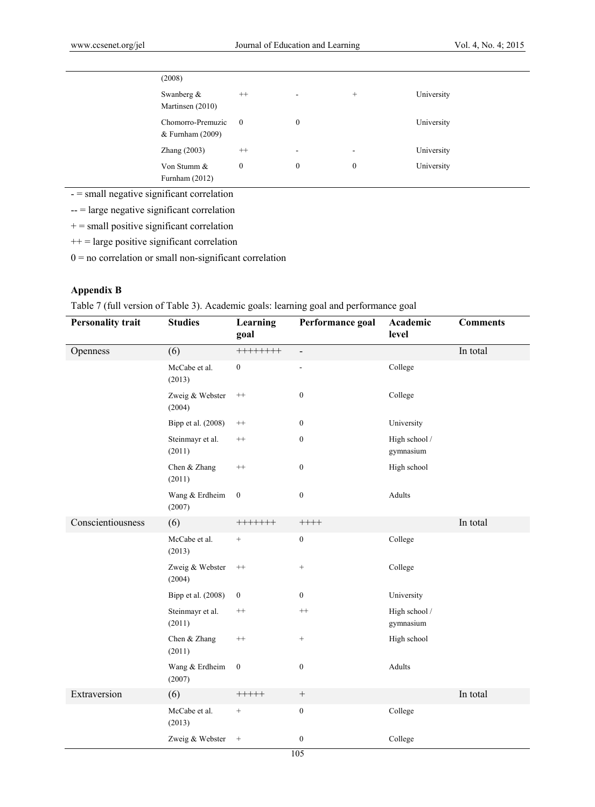| (2008)                                |                  |                  |                          |            |
|---------------------------------------|------------------|------------------|--------------------------|------------|
| Swanberg $\&$<br>Martinsen (2010)     | $^{++}$          | ۰.               | $^{+}$                   | University |
| Chomorro-Premuzic<br>& Furnham (2009) | $\overline{0}$   | $\theta$         |                          | University |
| Zhang $(2003)$                        | $^{++}$          | -                | $\overline{\phantom{a}}$ | University |
| Von Stumm &<br>Furnham $(2012)$       | $\boldsymbol{0}$ | $\boldsymbol{0}$ | 0                        | University |
|                                       |                  |                  |                          |            |

- = small negative significant correlation

-- = large negative significant correlation

 $+$  = small positive significant correlation

 $++$  = large positive significant correlation

 $0 =$  no correlation or small non-significant correlation

# **Appendix B**

Table 7 (full version of Table 3). Academic goals: learning goal and performance goal

| <b>Personality trait</b> | <b>Studies</b>             | Learning<br>goal  | Performance goal         | Academic<br>level          | <b>Comments</b> |
|--------------------------|----------------------------|-------------------|--------------------------|----------------------------|-----------------|
| Openness                 | (6)                        | $++++++++$        | $\overline{\phantom{0}}$ |                            | In total        |
|                          | McCabe et al.<br>(2013)    | $\boldsymbol{0}$  | $\overline{a}$           | College                    |                 |
|                          | Zweig & Webster<br>(2004)  | $^{\rm ++}$       | $\boldsymbol{0}$         | College                    |                 |
|                          | Bipp et al. (2008)         | $++$              | $\boldsymbol{0}$         | University                 |                 |
|                          | Steinmayr et al.<br>(2011) | $^{\rm ++}$       | $\boldsymbol{0}$         | High school /<br>gymnasium |                 |
|                          | Chen & Zhang<br>(2011)     | $^{\rm ++}$       | $\boldsymbol{0}$         | High school                |                 |
|                          | Wang & Erdheim<br>(2007)   | $\boldsymbol{0}$  | $\boldsymbol{0}$         | Adults                     |                 |
| Conscientiousness        | (6)                        | $++++++$          | $+++++$                  |                            | In total        |
|                          | McCabe et al.<br>(2013)    | $\qquad \qquad +$ | $\boldsymbol{0}$         | College                    |                 |
|                          | Zweig & Webster<br>(2004)  | $\scriptstyle ++$ | $\! + \!\!\!\!$          | College                    |                 |
|                          | Bipp et al. (2008)         | $\boldsymbol{0}$  | $\boldsymbol{0}$         | University                 |                 |
|                          | Steinmayr et al.<br>(2011) | $^{++}$           | $^{++}$                  | High school /<br>gymnasium |                 |
|                          | Chen & Zhang<br>(2011)     | $^{++}\,$         | $^+$                     | High school                |                 |
|                          | Wang & Erdheim<br>(2007)   | $\boldsymbol{0}$  | $\boldsymbol{0}$         | Adults                     |                 |
| Extraversion             | (6)                        | $+++++$           |                          |                            | In total        |
|                          | McCabe et al.<br>(2013)    | $\pm$             | $\boldsymbol{0}$         | College                    |                 |
|                          | Zweig & Webster            | $\! + \!\!\!\!$   | $\boldsymbol{0}$         | College                    |                 |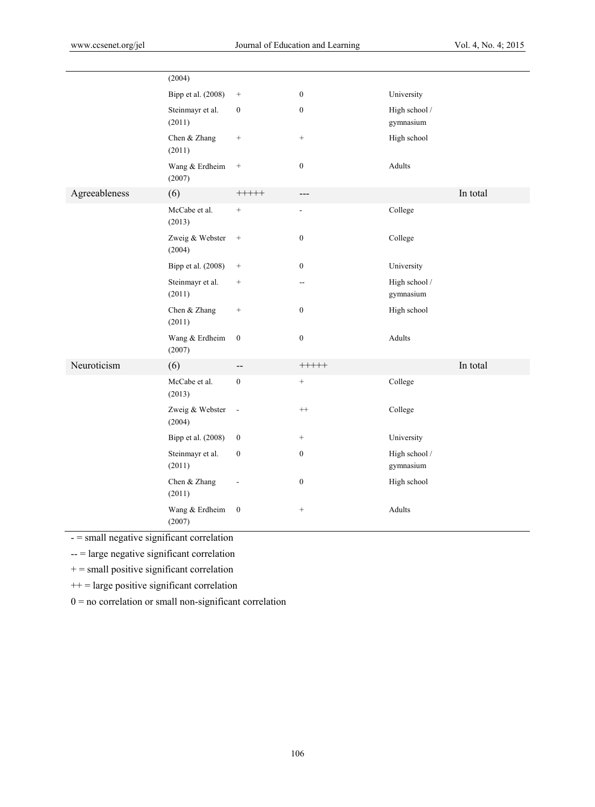|               | (2004)                     |                      |                   |                            |          |
|---------------|----------------------------|----------------------|-------------------|----------------------------|----------|
|               | Bipp et al. (2008)         |                      | $\boldsymbol{0}$  | University                 |          |
|               | Steinmayr et al.           | $\boldsymbol{0}$     | $\mathbf{0}$      | High school /              |          |
|               | (2011)                     |                      |                   | gymnasium                  |          |
|               | Chen & Zhang<br>(2011)     | $\qquad \qquad +$    | $\qquad \qquad +$ | High school                |          |
|               | Wang & Erdheim<br>(2007)   | $^+$                 | $\boldsymbol{0}$  | Adults                     |          |
| Agreeableness | (6)                        | $+++++$              | ---               |                            | In total |
|               | McCabe et al.<br>(2013)    | $\qquad \qquad +$    | ٠                 | College                    |          |
|               | Zweig & Webster<br>(2004)  | $\! + \!\!\!\!$      | $\boldsymbol{0}$  | College                    |          |
|               | Bipp et al. (2008)         | $+$                  | $\boldsymbol{0}$  | University                 |          |
|               | Steinmayr et al.<br>(2011) | $\qquad \qquad +$    |                   | High school /<br>gymnasium |          |
|               | Chen & Zhang<br>(2011)     | $\qquad \qquad +$    | $\boldsymbol{0}$  | High school                |          |
|               | Wang & Erdheim<br>(2007)   | $\boldsymbol{0}$     | $\boldsymbol{0}$  | Adults                     |          |
| Neuroticism   | (6)                        | $-$                  | $+++++$           |                            | In total |
|               | McCabe et al.<br>(2013)    | $\mathbf{0}$         | $\qquad \qquad +$ | College                    |          |
|               | Zweig & Webster<br>(2004)  | $\ddot{\phantom{1}}$ | $^{++}$           | College                    |          |
|               | Bipp et al. (2008)         | $\boldsymbol{0}$     | $\! + \!\!\!\!$   | University                 |          |
|               | Steinmayr et al.<br>(2011) | $\boldsymbol{0}$     | $\boldsymbol{0}$  | High school /<br>gymnasium |          |
|               | Chen & Zhang<br>(2011)     |                      | $\boldsymbol{0}$  | High school                |          |
|               | Wang & Erdheim<br>(2007)   | $\boldsymbol{0}$     | $\qquad \qquad +$ | Adults                     |          |

- = small negative significant correlation

-- = large negative significant correlation

 $+$  = small positive significant correlation

++ = large positive significant correlation

 $0 =$  no correlation or small non-significant correlation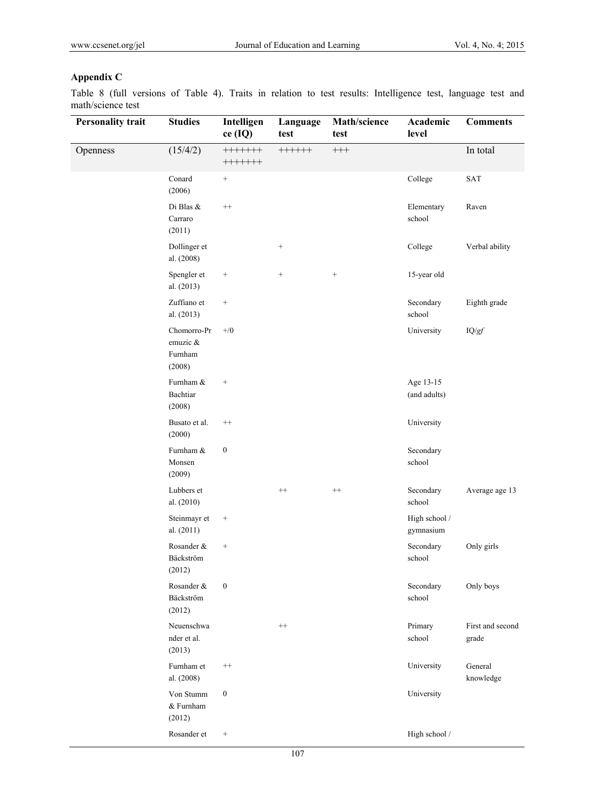# **Appendix C**

Table 8 (full versions of Table 4). Traits in relation to test results: Intelligence test, language test and math/science test

| <b>Personality trait</b> | <b>Studies</b>                               | Intelligen<br>ce (IQ) | Language<br>test | Math/science<br>test | Academic<br>level          | <b>Comments</b>           |
|--------------------------|----------------------------------------------|-----------------------|------------------|----------------------|----------------------------|---------------------------|
| Openness                 | (15/4/2)                                     | $++++++$<br>$++++++$  | $++++++$         | $^{+++}$             |                            | In total                  |
|                          | Conard<br>(2006)                             | $^+$                  |                  |                      | College                    | SAT                       |
|                          | Di Blas &<br>Carraro<br>(2011)               | $++$                  |                  |                      | Elementary<br>school       | Raven                     |
|                          | Dollinger et<br>al. (2008)                   |                       | $\! + \!\!\!\!$  |                      | College                    | Verbal ability            |
|                          | Spengler et<br>al. (2013)                    | $\qquad \qquad +$     | $^+$             | $\! + \!\!\!\!$      | 15-year old                |                           |
|                          | Zuffiano et<br>al. (2013)                    | $\qquad \qquad +$     |                  |                      | Secondary<br>school        | Eighth grade              |
|                          | Chomorro-Pr<br>emuzic &<br>Furnham<br>(2008) | $^{+/0}$              |                  |                      | University                 | IQ/gf                     |
|                          | Furnham &<br>Bachtiar<br>(2008)              | $\qquad \qquad +$     |                  |                      | Age 13-15<br>(and adults)  |                           |
|                          | Busato et al.<br>(2000)                      | $++$                  |                  |                      | University                 |                           |
|                          | Furnham &<br>Monsen<br>(2009)                | $\boldsymbol{0}$      |                  |                      | Secondary<br>school        |                           |
|                          | Lubbers et<br>al. (2010)                     |                       | $++$             | $^{++}$              | Secondary<br>school        | Average age 13            |
|                          | Steinmayr et<br>al. (2011)                   | $+$                   |                  |                      | High school /<br>gymnasium |                           |
|                          | Rosander &<br>Bäckström<br>(2012)            | $\qquad \qquad +$     |                  |                      | Secondary<br>school        | Only girls                |
|                          | Rosander &<br>Bäckström<br>(2012)            | $\boldsymbol{0}$      |                  |                      | Secondary<br>school        | Only boys                 |
|                          | Neuenschwa<br>nder et al.<br>(2013)          |                       | $++$             |                      | Primary<br>school          | First and second<br>grade |
|                          | Furnham et<br>al. (2008)                     | $\qquad \qquad +$     |                  |                      | University                 | General<br>knowledge      |
|                          | Von Stumm<br>& Furnham<br>(2012)             | $\boldsymbol{0}$      |                  |                      | University                 |                           |
|                          | Rosander et                                  | $\qquad \qquad +$     |                  |                      | High school /              |                           |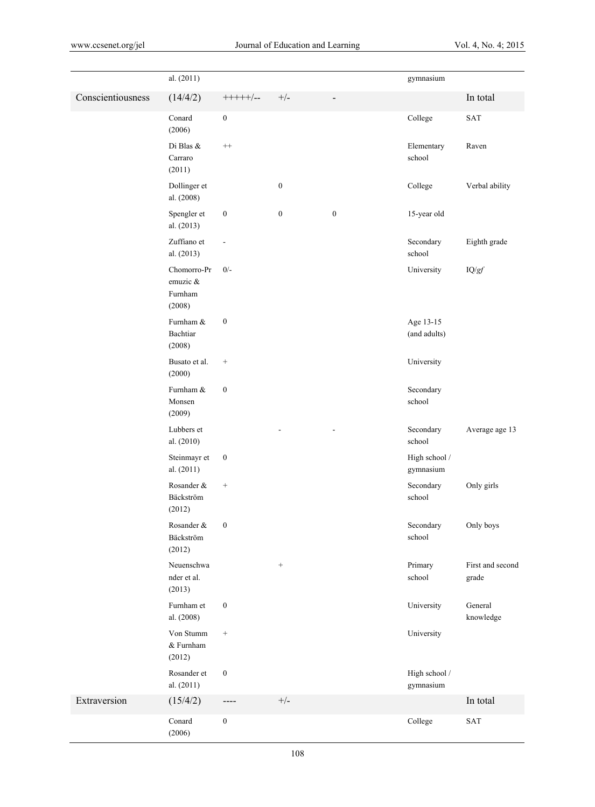|                   | al. (2011)                                   |                          |                  |                  | gymnasium                  |                           |
|-------------------|----------------------------------------------|--------------------------|------------------|------------------|----------------------------|---------------------------|
| Conscientiousness | (14/4/2)                                     | $++++--$                 | $+/-$            |                  |                            | In total                  |
|                   | Conard<br>(2006)                             | $\boldsymbol{0}$         |                  |                  | College                    | <b>SAT</b>                |
|                   | Di Blas &<br>Carraro<br>(2011)               | $++$                     |                  |                  | Elementary<br>school       | Raven                     |
|                   | Dollinger et<br>al. (2008)                   |                          | $\boldsymbol{0}$ |                  | College                    | Verbal ability            |
|                   | Spengler et<br>al. (2013)                    | $\boldsymbol{0}$         | $\boldsymbol{0}$ | $\boldsymbol{0}$ | 15-year old                |                           |
|                   | Zuffiano et<br>al. (2013)                    | $\overline{\phantom{a}}$ |                  |                  | Secondary<br>school        | Eighth grade              |
|                   | Chomorro-Pr<br>emuzic &<br>Furnham<br>(2008) | $0/-$                    |                  |                  | University                 | $\mbox{IQ/g} f$           |
|                   | Furnham &<br>Bachtiar<br>(2008)              | $\boldsymbol{0}$         |                  |                  | Age 13-15<br>(and adults)  |                           |
|                   | Busato et al.<br>(2000)                      | $\qquad \qquad +$        |                  |                  | University                 |                           |
|                   | Furnham &<br>Monsen<br>(2009)                | $\boldsymbol{0}$         |                  |                  | Secondary<br>school        |                           |
|                   | Lubbers et<br>al. (2010)                     |                          |                  |                  | Secondary<br>school        | Average age 13            |
|                   | Steinmayr et<br>al. (2011)                   | $\boldsymbol{0}$         |                  |                  | High school /<br>gymnasium |                           |
|                   | Rosander &<br>Bäckström<br>(2012)            | $\qquad \qquad +$        |                  |                  | Secondary<br>school        | Only girls                |
|                   | Rosander &<br>Bäckström<br>(2012)            | $\boldsymbol{0}$         |                  |                  | Secondary<br>school        | Only boys                 |
|                   | Neuenschwa<br>nder et al.<br>(2013)          |                          | $\! + \!\!\!\!$  |                  | Primary<br>school          | First and second<br>grade |
|                   | Furnham et<br>al. (2008)                     | $\boldsymbol{0}$         |                  |                  | University                 | General<br>knowledge      |
|                   | Von Stumm<br>& Furnham<br>(2012)             | $\qquad \qquad +$        |                  |                  | University                 |                           |
|                   | Rosander et<br>al. (2011)                    | $\boldsymbol{0}$         |                  |                  | High school /<br>gymnasium |                           |
| Extraversion      | (15/4/2)                                     | $---$                    | $+/-$            |                  |                            | In total                  |
|                   | Conard<br>(2006)                             | $\boldsymbol{0}$         |                  |                  | College                    | SAT                       |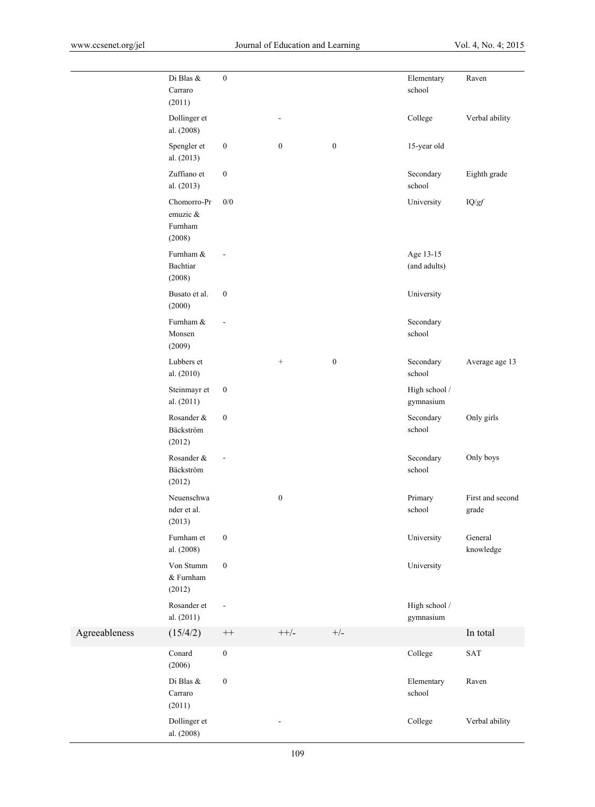|               | Di Blas &<br>Carraro<br>(2011)               | $\boldsymbol{0}$         |                  |                  | Elementary<br>school       | Raven                     |
|---------------|----------------------------------------------|--------------------------|------------------|------------------|----------------------------|---------------------------|
|               | Dollinger et<br>al. (2008)                   |                          |                  |                  | College                    | Verbal ability            |
|               | Spengler et<br>al. (2013)                    | $\boldsymbol{0}$         | $\boldsymbol{0}$ | $\boldsymbol{0}$ | 15-year old                |                           |
|               | Zuffiano et<br>al. (2013)                    | $\boldsymbol{0}$         |                  |                  | Secondary<br>school        | Eighth grade              |
|               | Chomorro-Pr<br>emuzic &<br>Furnham<br>(2008) | 0/0                      |                  |                  | University                 | IQ/gf                     |
|               | Furnham &<br>Bachtiar<br>(2008)              |                          |                  |                  | Age 13-15<br>(and adults)  |                           |
|               | Busato et al.<br>(2000)                      | $\boldsymbol{0}$         |                  |                  | University                 |                           |
|               | Furnham &<br>Monsen<br>(2009)                | $\overline{a}$           |                  |                  | Secondary<br>school        |                           |
|               | Lubbers et<br>al. (2010)                     |                          | $^{+}$           | $\boldsymbol{0}$ | Secondary<br>school        | Average age 13            |
|               | Steinmayr et<br>al. (2011)                   | $\boldsymbol{0}$         |                  |                  | High school /<br>gymnasium |                           |
|               | Rosander &<br>Bäckström<br>(2012)            | $\boldsymbol{0}$         |                  |                  | Secondary<br>school        | Only girls                |
|               | Rosander &<br>Bäckström<br>(2012)            |                          |                  |                  | Secondary<br>school        | Only boys                 |
|               | Neuenschwa<br>nder et al.<br>(2013)          |                          | $\boldsymbol{0}$ |                  | Primary<br>school          | First and second<br>grade |
|               | Furnham et<br>al. (2008)                     | $\boldsymbol{0}$         |                  |                  | University                 | General<br>knowledge      |
|               | Von Stumm<br>& Furnham<br>(2012)             | $\boldsymbol{0}$         |                  |                  | University                 |                           |
|               | Rosander et<br>al. (2011)                    | $\overline{\phantom{a}}$ |                  |                  | High school /<br>gymnasium |                           |
| Agreeableness | (15/4/2)                                     | $^{++}\,$                | $++/$            | $+/-$            |                            | In total                  |
|               | Conard<br>(2006)                             | $\boldsymbol{0}$         |                  |                  | College                    | SAT                       |
|               | Di Blas &<br>Carraro<br>(2011)               | $\boldsymbol{0}$         |                  |                  | Elementary<br>school       | Raven                     |
|               | Dollinger et<br>al. (2008)                   |                          |                  |                  | College                    | Verbal ability            |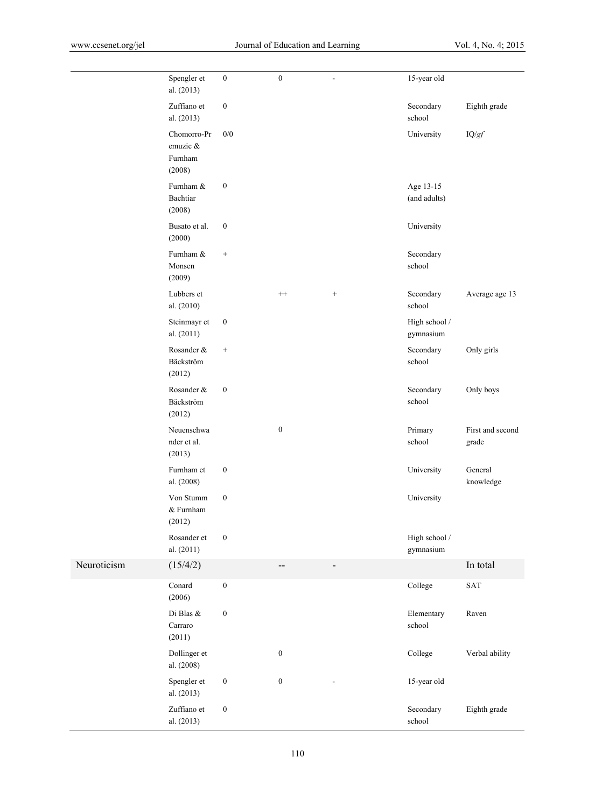|             | Spengler et<br>al. (2013)                    | $\boldsymbol{0}$ | $\boldsymbol{0}$ |                          | 15-year old                |                           |
|-------------|----------------------------------------------|------------------|------------------|--------------------------|----------------------------|---------------------------|
|             | Zuffiano et<br>al. (2013)                    | $\boldsymbol{0}$ |                  |                          | Secondary<br>school        | Eighth grade              |
|             | Chomorro-Pr<br>emuzic &<br>Furnham<br>(2008) | $0/0\,$          |                  |                          | University                 | IQ/gf                     |
|             | Furnham &<br>Bachtiar<br>(2008)              | $\boldsymbol{0}$ |                  |                          | Age 13-15<br>(and adults)  |                           |
|             | Busato et al.<br>(2000)                      | $\boldsymbol{0}$ |                  |                          | University                 |                           |
|             | Furnham &<br>Monsen<br>(2009)                | $^{+}$           |                  |                          | Secondary<br>school        |                           |
|             | Lubbers et<br>al. (2010)                     |                  | $^{++}$          | $\! + \!\!\!\!$          | Secondary<br>school        | Average age 13            |
|             | Steinmayr et<br>al. (2011)                   | $\boldsymbol{0}$ |                  |                          | High school /<br>gymnasium |                           |
|             | Rosander &<br>Bäckström<br>(2012)            | $^{+}$           |                  |                          | Secondary<br>school        | Only girls                |
|             | Rosander &<br>Bäckström<br>(2012)            | $\boldsymbol{0}$ |                  |                          | Secondary<br>school        | Only boys                 |
|             | Neuenschwa<br>nder et al.<br>(2013)          |                  | $\boldsymbol{0}$ |                          | Primary<br>school          | First and second<br>grade |
|             | Furnham et<br>al. (2008)                     | $\boldsymbol{0}$ |                  |                          | University                 | General<br>knowledge      |
|             | Von Stumm<br>& Furnham<br>(2012)             | $\boldsymbol{0}$ |                  |                          | University                 |                           |
|             | Rosander et<br>al. (2011)                    | $\boldsymbol{0}$ |                  |                          | High school /<br>gymnasium |                           |
| Neuroticism | (15/4/2)                                     |                  | $-$              | $\overline{\phantom{0}}$ |                            | In total                  |
|             | Conard<br>(2006)                             | $\boldsymbol{0}$ |                  |                          | College                    | SAT                       |
|             | Di Blas $\&$<br>Carraro<br>(2011)            | $\boldsymbol{0}$ |                  |                          | Elementary<br>school       | Raven                     |
|             | Dollinger et<br>al. (2008)                   |                  | $\boldsymbol{0}$ |                          | College                    | Verbal ability            |
|             | Spengler et<br>al. (2013)                    | $\boldsymbol{0}$ | $\boldsymbol{0}$ |                          | 15-year old                |                           |
|             | Zuffiano et<br>al. (2013)                    | $\boldsymbol{0}$ |                  |                          | Secondary<br>school        | Eighth grade              |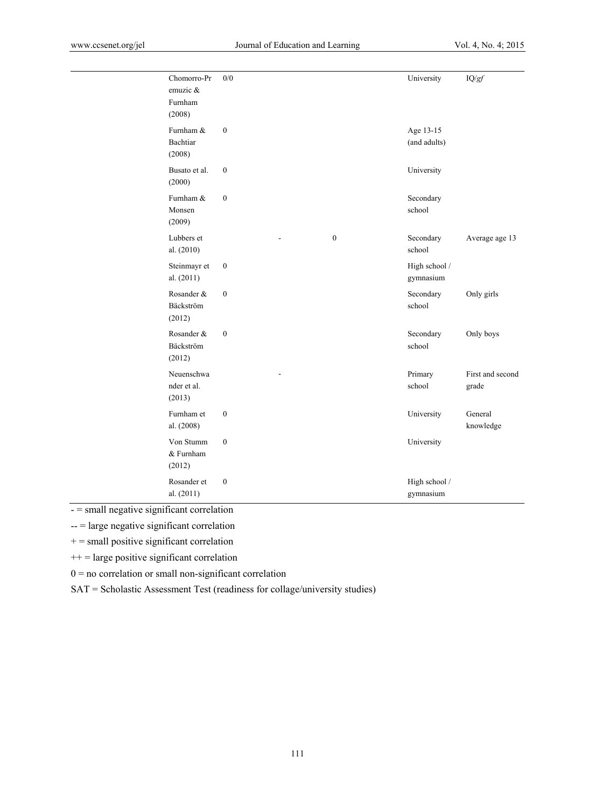| Chomorro-Pr<br>emuzic &<br>Furnham<br>(2008) | 0/0              |                  | University                 | IQ/gf                     |
|----------------------------------------------|------------------|------------------|----------------------------|---------------------------|
| Furnham &<br>Bachtiar<br>(2008)              | $\boldsymbol{0}$ |                  | Age 13-15<br>(and adults)  |                           |
| Busato et al.<br>(2000)                      | $\boldsymbol{0}$ |                  | University                 |                           |
| Furnham &<br>Monsen<br>(2009)                | $\boldsymbol{0}$ |                  | Secondary<br>school        |                           |
| Lubbers et<br>al. (2010)                     |                  | $\boldsymbol{0}$ | Secondary<br>school        | Average age 13            |
| Steinmayr et<br>al. (2011)                   | $\boldsymbol{0}$ |                  | High school /<br>gymnasium |                           |
| Rosander &<br>Bäckström<br>(2012)            | $\boldsymbol{0}$ |                  | Secondary<br>school        | Only girls                |
| Rosander &<br>Bäckström<br>(2012)            | $\mathbf{0}$     |                  | Secondary<br>school        | Only boys                 |
| Neuenschwa<br>nder et al.<br>(2013)          |                  |                  | Primary<br>school          | First and second<br>grade |
| Furnham et<br>al. (2008)                     | $\boldsymbol{0}$ |                  | University                 | General<br>knowledge      |
| Von Stumm<br>& Furnham<br>(2012)             | $\boldsymbol{0}$ |                  | University                 |                           |
| Rosander et<br>al. (2011)                    | $\boldsymbol{0}$ |                  | High school /<br>gymnasium |                           |

- = small negative significant correlation

-- = large negative significant correlation

 $+$  = small positive significant correlation

 $++$  = large positive significant correlation

 $0 =$  no correlation or small non-significant correlation

SAT = Scholastic Assessment Test (readiness for collage/university studies)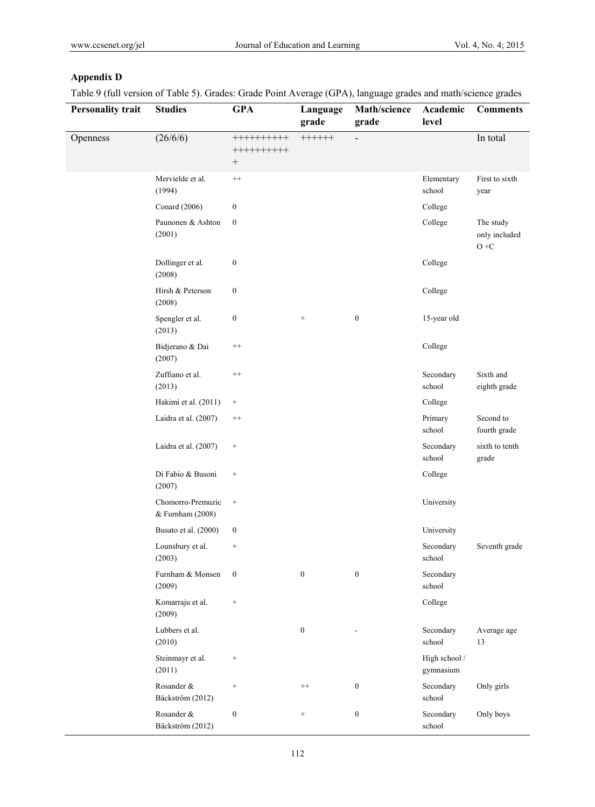# **Appendix D**

Table 9 (full version of Table 5). Grades: Grade Point Average (GPA), language grades and math/science grades

| <b>Personality trait</b> | <b>Studies</b>                        | <b>GPA</b>                   | Language<br>grade | Math/science<br>grade | Academic<br>level          | <b>Comments</b>                                       |
|--------------------------|---------------------------------------|------------------------------|-------------------|-----------------------|----------------------------|-------------------------------------------------------|
| Openness                 | (26/6/6)                              | $++++++++++$<br>$++++++++++$ | $++++++$          |                       |                            | In total                                              |
|                          | Mervielde et al.<br>(1994)            | $^{++}$                      |                   |                       | Elementary<br>school       | First to sixth<br>year                                |
|                          | Conard (2006)                         | $\boldsymbol{0}$             |                   |                       | College                    |                                                       |
|                          | Paunonen & Ashton<br>(2001)           | $\boldsymbol{0}$             |                   |                       | College                    | The study<br>only included<br>$\mathrm{O}+\mathrm{C}$ |
|                          | Dollinger et al.<br>(2008)            | $\boldsymbol{0}$             |                   |                       | College                    |                                                       |
|                          | Hirsh & Peterson<br>(2008)            | $\boldsymbol{0}$             |                   |                       | College                    |                                                       |
|                          | Spengler et al.<br>(2013)             | $\boldsymbol{0}$             | $\! + \!\!\!\!$   | $\boldsymbol{0}$      | 15-year old                |                                                       |
|                          | Bidjerano & Dai<br>(2007)             | $++$                         |                   |                       | College                    |                                                       |
|                          | Zuffiano et al.<br>(2013)             | $++$                         |                   |                       | Secondary<br>school        | Sixth and<br>eighth grade                             |
|                          | Hakimi et al. (2011)                  | $\! + \!\!\!\!$              |                   |                       | College                    |                                                       |
|                          | Laidra et al. (2007)                  | $++$                         |                   |                       | Primary<br>school          | Second to<br>fourth grade                             |
|                          | Laidra et al. (2007)                  |                              |                   |                       | Secondary<br>school        | sixth to tenth<br>grade                               |
|                          | Di Fabio & Busoni<br>(2007)           | $\qquad \qquad +$            |                   |                       | College                    |                                                       |
|                          | Chomorro-Premuzic<br>& Furnham (2008) | $\qquad \qquad +$            |                   |                       | University                 |                                                       |
|                          | Busato et al. (2000)                  | $\boldsymbol{0}$             |                   |                       | University                 |                                                       |
|                          | Lounsbury et al.<br>(2003)            | $\! + \!\!\!\!$              |                   |                       | Secondary<br>school        | Seventh grade                                         |
|                          | Furnham & Monsen<br>(2009)            | $\boldsymbol{0}$             | $\boldsymbol{0}$  | $\boldsymbol{0}$      | Secondary<br>school        |                                                       |
|                          | Komarraju et al.<br>(2009)            |                              |                   |                       | College                    |                                                       |
|                          | Lubbers et al.<br>(2010)              |                              | $\boldsymbol{0}$  |                       | Secondary<br>school        | Average age<br>13                                     |
|                          | Steinmayr et al.<br>(2011)            | $\qquad \qquad +$            |                   |                       | High school /<br>gymnasium |                                                       |
|                          | Rosander &<br>Bäckström (2012)        | $\qquad \qquad +$            | $^{++}$           | $\boldsymbol{0}$      | Secondary<br>school        | Only girls                                            |
|                          | Rosander &<br>Bäckström (2012)        | $\boldsymbol{0}$             | $^{+}$            | $\boldsymbol{0}$      | Secondary<br>school        | Only boys                                             |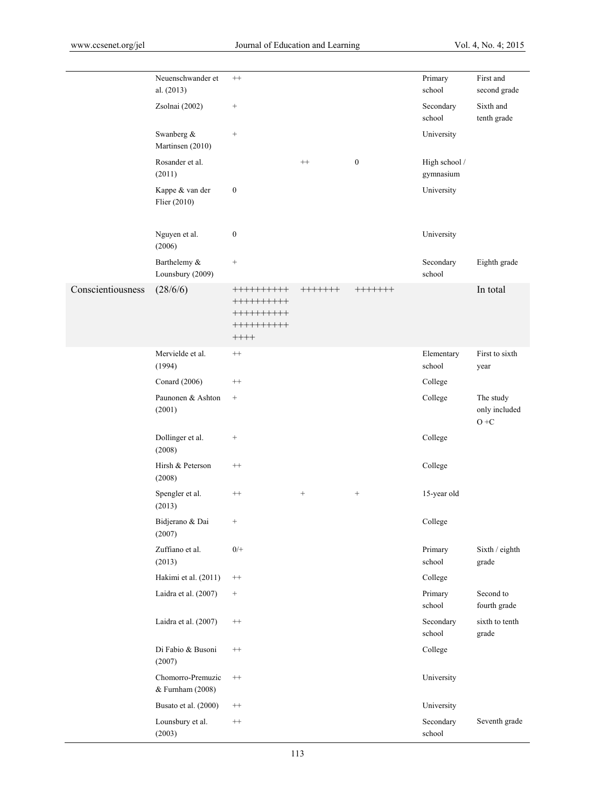|                   | Neuenschwander et<br>al. (2013)       | $^{++}$                                                                             |                   |                   | Primary<br>school          | First and<br>second grade             |
|-------------------|---------------------------------------|-------------------------------------------------------------------------------------|-------------------|-------------------|----------------------------|---------------------------------------|
|                   | Zsolnai (2002)                        | $^+$                                                                                |                   |                   | Secondary<br>school        | Sixth and<br>tenth grade              |
|                   | Swanberg &<br>Martinsen (2010)        | $\qquad \qquad +$                                                                   |                   |                   | University                 |                                       |
|                   | Rosander et al.<br>(2011)             |                                                                                     | $^{++}$           | $\boldsymbol{0}$  | High school /<br>gymnasium |                                       |
|                   | Kappe & van der<br>Flier (2010)       | $\boldsymbol{0}$                                                                    |                   |                   | University                 |                                       |
|                   | Nguyen et al.<br>(2006)               | $\boldsymbol{0}$                                                                    |                   |                   | University                 |                                       |
|                   | Barthelemy &<br>Lounsbury (2009)      | $^+$                                                                                |                   |                   | Secondary<br>school        | Eighth grade                          |
| Conscientiousness | (28/6/6)                              | $++++++++++$<br>$++++++++++$<br>$++++++++++$<br>$+\!+\!+\!+\!+\!+\!+\!+$<br>$++++-$ | $++++++$          | $++++++$          |                            | In total                              |
|                   | Mervielde et al.<br>(1994)            | $++$                                                                                |                   |                   | Elementary<br>school       | First to sixth<br>year                |
|                   | Conard (2006)                         | $^{++}$                                                                             |                   |                   | College                    |                                       |
|                   | Paunonen & Ashton<br>(2001)           | $^{+}$                                                                              |                   |                   | College                    | The study<br>only included<br>$O + C$ |
|                   | Dollinger et al.<br>(2008)            | $\! + \!\!\!\!$                                                                     |                   |                   | College                    |                                       |
|                   | Hirsh & Peterson<br>(2008)            | $++$                                                                                |                   |                   | College                    |                                       |
|                   | Spengler et al.<br>(2013)             | $++$                                                                                | $\qquad \qquad +$ | $\qquad \qquad +$ | 15-year old                |                                       |
|                   | Bidjerano & Dai<br>(2007)             | $\qquad \qquad +$                                                                   |                   |                   | College                    |                                       |
|                   | Zuffiano et al.<br>(2013)             | $0^{/+}$                                                                            |                   |                   | Primary<br>school          | Sixth / eighth<br>grade               |
|                   | Hakimi et al. (2011)                  | $++$                                                                                |                   |                   | College                    |                                       |
|                   | Laidra et al. (2007)                  | $\qquad \qquad +$                                                                   |                   |                   | Primary<br>school          | Second to<br>fourth grade             |
|                   | Laidra et al. (2007)                  | $^{++}\,$                                                                           |                   |                   | Secondary<br>school        | sixth to tenth<br>grade               |
|                   | Di Fabio & Busoni<br>(2007)           | $++$                                                                                |                   |                   | College                    |                                       |
|                   | Chomorro-Premuzic<br>& Furnham (2008) | $^{++}\,$                                                                           |                   |                   | University                 |                                       |
|                   | Busato et al. (2000)                  | $^{++}\,$                                                                           |                   |                   | University                 |                                       |
|                   | Lounsbury et al.<br>(2003)            | $^{++}\,$                                                                           |                   |                   | Secondary<br>school        | Seventh grade                         |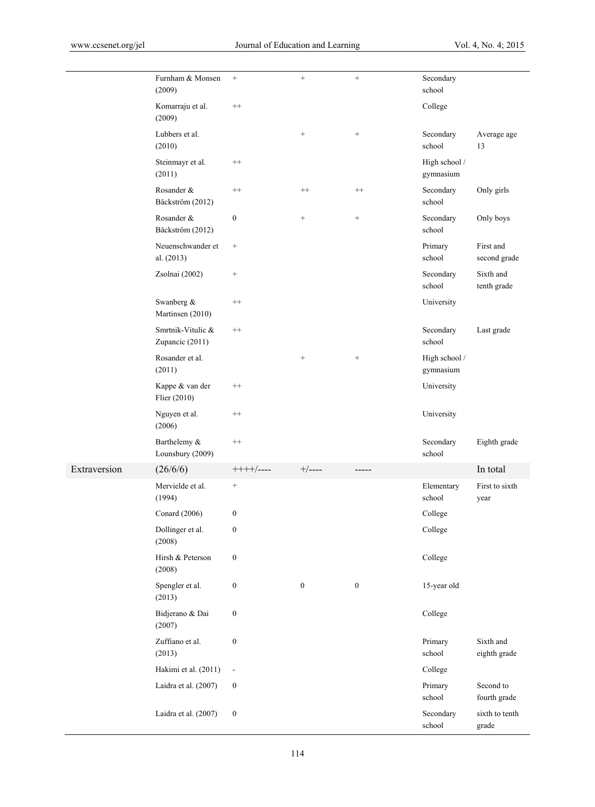|              | Furnham & Monsen<br>(2009)           |                   | $\qquad \qquad +$ | $^{+}$            | Secondary<br>school        |                           |
|--------------|--------------------------------------|-------------------|-------------------|-------------------|----------------------------|---------------------------|
|              | Komarraju et al.<br>(2009)           | $++$              |                   |                   | College                    |                           |
|              | Lubbers et al.<br>(2010)             |                   |                   | $^{+}$            | Secondary<br>school        | Average age<br>13         |
|              | Steinmayr et al.<br>(2011)           | $++$              |                   |                   | High school /<br>gymnasium |                           |
|              | Rosander &<br>Bäckström (2012)       | $++$              | $++$              | $^{++}$           | Secondary<br>school        | Only girls                |
|              | Rosander &<br>Bäckström (2012)       | $\boldsymbol{0}$  | $\! + \!\!\!\!$   | $^{+}$            | Secondary<br>school        | Only boys                 |
|              | Neuenschwander et<br>al. (2013)      | $\! + \!\!\!\!$   |                   |                   | Primary<br>school          | First and<br>second grade |
|              | Zsolnai (2002)                       | $\! + \!\!\!\!$   |                   |                   | Secondary<br>school        | Sixth and<br>tenth grade  |
|              | Swanberg &<br>Martinsen (2010)       | $++$              |                   |                   | University                 |                           |
|              | Smrtnik-Vitulic &<br>Zupancic (2011) | $^{++}$           |                   |                   | Secondary<br>school        | Last grade                |
|              | Rosander et al.<br>(2011)            |                   | $\! + \!\!\!\!$   | $\qquad \qquad +$ | High school /<br>gymnasium |                           |
|              | Kappe & van der<br>Flier (2010)      | $++$              |                   |                   | University                 |                           |
|              | Nguyen et al.<br>(2006)              | $++$              |                   |                   | University                 |                           |
|              | Barthelemy &<br>Lounsbury (2009)     | $++$              |                   |                   | Secondary<br>school        | Eighth grade              |
| Extraversion | (26/6/6)                             | $++++/---$        | $+/----$          |                   |                            | In total                  |
|              | Mervielde et al.<br>(1994)           | $\qquad \qquad +$ |                   |                   | Elementary<br>school       | First to sixth<br>year    |
|              | Conard (2006)                        | $\boldsymbol{0}$  |                   |                   | College                    |                           |
|              | Dollinger et al.<br>(2008)           | $\boldsymbol{0}$  |                   |                   | College                    |                           |
|              | Hirsh & Peterson<br>(2008)           | $\boldsymbol{0}$  |                   |                   | College                    |                           |
|              | Spengler et al.<br>(2013)            | $\boldsymbol{0}$  | $\boldsymbol{0}$  | $\boldsymbol{0}$  | 15-year old                |                           |
|              | Bidjerano & Dai<br>(2007)            | $\boldsymbol{0}$  |                   |                   | College                    |                           |
|              | Zuffiano et al.<br>(2013)            | $\boldsymbol{0}$  |                   |                   | Primary<br>school          | Sixth and<br>eighth grade |
|              | Hakimi et al. (2011)                 | $\blacksquare$    |                   |                   | College                    |                           |
|              | Laidra et al. (2007)                 | $\boldsymbol{0}$  |                   |                   | Primary<br>school          | Second to<br>fourth grade |
|              | Laidra et al. (2007)                 | $\boldsymbol{0}$  |                   |                   | Secondary<br>school        | sixth to tenth<br>grade   |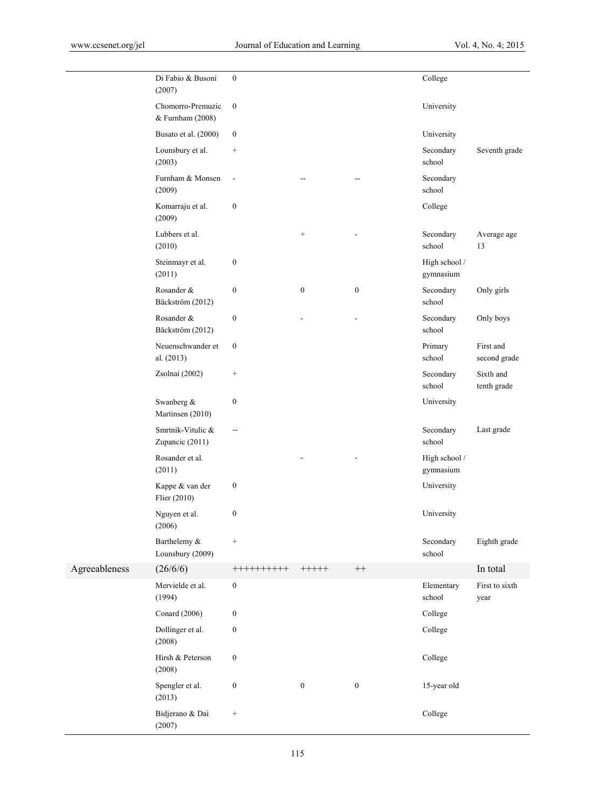|               | Di Fabio & Busoni<br>(2007)           | $\boldsymbol{0}$         |                   |                  | College                    |                           |
|---------------|---------------------------------------|--------------------------|-------------------|------------------|----------------------------|---------------------------|
|               | Chomorro-Premuzic<br>& Furnham (2008) | $\boldsymbol{0}$         |                   |                  | University                 |                           |
|               | Busato et al. (2000)                  | $\boldsymbol{0}$         |                   |                  | University                 |                           |
|               | Lounsbury et al.<br>(2003)            |                          |                   |                  | Secondary<br>school        | Seventh grade             |
|               | Furnham & Monsen<br>(2009)            | $\overline{a}$           |                   |                  | Secondary<br>school        |                           |
|               | Komarraju et al.<br>(2009)            | $\boldsymbol{0}$         |                   |                  | College                    |                           |
|               | Lubbers et al.<br>(2010)              |                          | $\qquad \qquad +$ |                  | Secondary<br>school        | Average age<br>13         |
|               | Steinmayr et al.<br>(2011)            | $\boldsymbol{0}$         |                   |                  | High school /<br>gymnasium |                           |
|               | Rosander &<br>Bäckström (2012)        | $\boldsymbol{0}$         | $\boldsymbol{0}$  | $\boldsymbol{0}$ | Secondary<br>school        | Only girls                |
|               | Rosander &<br>Bäckström (2012)        | $\boldsymbol{0}$         |                   |                  | Secondary<br>school        | Only boys                 |
|               | Neuenschwander et<br>al. (2013)       | $\boldsymbol{0}$         |                   |                  | Primary<br>school          | First and<br>second grade |
|               | Zsolnai (2002)                        |                          |                   |                  | Secondary<br>school        | Sixth and<br>tenth grade  |
|               | Swanberg &<br>Martinsen (2010)        | $\boldsymbol{0}$         |                   |                  | University                 |                           |
|               | Smrtnik-Vitulic &<br>Zupancic (2011)  | $\overline{\phantom{a}}$ |                   |                  | Secondary<br>school        | Last grade                |
|               | Rosander et al.<br>(2011)             |                          |                   |                  | High school /<br>gymnasium |                           |
|               | Kappe & van der<br>Flier (2010)       | $\boldsymbol{0}$         |                   |                  | University                 |                           |
|               | Nguyen et al.<br>(2006)               | 0                        |                   |                  | University                 |                           |
|               | Barthelemy &<br>Lounsbury (2009)      | $^+$                     |                   |                  | Secondary<br>school        | Eighth grade              |
| Agreeableness | (26/6/6)                              | $+++++++++++$            | $+++++$           | $^{++}\,$        |                            | In total                  |
|               | Mervielde et al.<br>(1994)            | $\boldsymbol{0}$         |                   |                  | Elementary<br>school       | First to sixth<br>year    |
|               | Conard (2006)                         | $\boldsymbol{0}$         |                   |                  | College                    |                           |
|               | Dollinger et al.<br>(2008)            | $\boldsymbol{0}$         |                   |                  | College                    |                           |
|               | Hirsh & Peterson<br>(2008)            | $\boldsymbol{0}$         |                   |                  | College                    |                           |
|               | Spengler et al.<br>(2013)             | $\boldsymbol{0}$         | $\boldsymbol{0}$  | $\boldsymbol{0}$ | 15-year old                |                           |
|               | Bidjerano & Dai<br>(2007)             | $^{\mathrm{+}}$          |                   |                  | College                    |                           |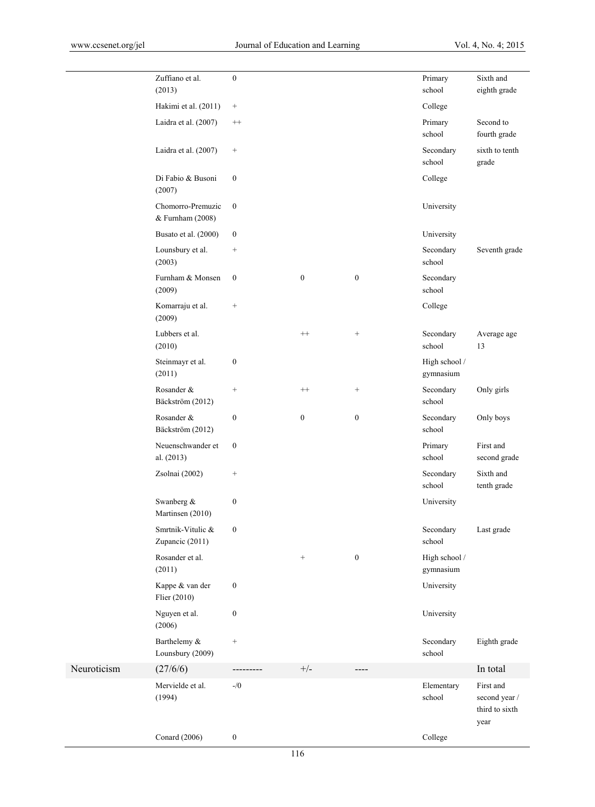|             | Zuffiano et al.<br>(2013)             | $\boldsymbol{0}$  |                   |                   | Primary<br>school          | Sixth and<br>eighth grade                            |
|-------------|---------------------------------------|-------------------|-------------------|-------------------|----------------------------|------------------------------------------------------|
|             | Hakimi et al. (2011)                  | $\qquad \qquad +$ |                   |                   | College                    |                                                      |
|             | Laidra et al. (2007)                  | $^{++}$           |                   |                   | Primary<br>school          | Second to<br>fourth grade                            |
|             | Laidra et al. (2007)                  | $^+$              |                   |                   | Secondary<br>school        | sixth to tenth<br>grade                              |
|             | Di Fabio & Busoni<br>(2007)           | $\boldsymbol{0}$  |                   |                   | College                    |                                                      |
|             | Chomorro-Premuzic<br>& Furnham (2008) | $\boldsymbol{0}$  |                   |                   | University                 |                                                      |
|             | Busato et al. (2000)                  | $\boldsymbol{0}$  |                   |                   | University                 |                                                      |
|             | Lounsbury et al.<br>(2003)            | $^{+}$            |                   |                   | Secondary<br>school        | Seventh grade                                        |
|             | Furnham & Monsen<br>(2009)            | $\boldsymbol{0}$  | $\boldsymbol{0}$  | $\boldsymbol{0}$  | Secondary<br>school        |                                                      |
|             | Komarraju et al.<br>(2009)            | $\, +$            |                   |                   | College                    |                                                      |
|             | Lubbers et al.<br>(2010)              |                   | $^{++}$           | $\qquad \qquad +$ | Secondary<br>school        | Average age<br>13                                    |
|             | Steinmayr et al.<br>(2011)            | $\boldsymbol{0}$  |                   |                   | High school /<br>gymnasium |                                                      |
|             | Rosander &<br>Bäckström (2012)        | $^{+}$            | $^{++}$           | $\qquad \qquad +$ | Secondary<br>school        | Only girls                                           |
|             | Rosander &<br>Bäckström (2012)        | $\boldsymbol{0}$  | $\boldsymbol{0}$  | $\boldsymbol{0}$  | Secondary<br>school        | Only boys                                            |
|             | Neuenschwander et<br>al. (2013)       | $\boldsymbol{0}$  |                   |                   | Primary<br>school          | First and<br>second grade                            |
|             | Zsolnai (2002)                        | $\! + \!\!\!\!$   |                   |                   | Secondary<br>school        | Sixth and<br>tenth grade                             |
|             | Swanberg &<br>Martinsen (2010)        | $\boldsymbol{0}$  |                   |                   | University                 |                                                      |
|             | Smrtnik-Vitulic &<br>Zupancic (2011)  | $\boldsymbol{0}$  |                   |                   | Secondary<br>school        | Last grade                                           |
|             | Rosander et al.<br>(2011)             |                   | $\qquad \qquad +$ | $\boldsymbol{0}$  | High school /<br>gymnasium |                                                      |
|             | Kappe & van der<br>Flier (2010)       | $\boldsymbol{0}$  |                   |                   | University                 |                                                      |
|             | Nguyen et al.<br>(2006)               | $\boldsymbol{0}$  |                   |                   | University                 |                                                      |
|             | Barthelemy &<br>Lounsbury (2009)      | $\qquad \qquad +$ |                   |                   | Secondary<br>school        | Eighth grade                                         |
| Neuroticism | (27/6/6)                              | ---------         | $+/-$             | ----              |                            | In total                                             |
|             | Mervielde et al.<br>(1994)            | $-1/0$            |                   |                   | Elementary<br>school       | First and<br>second year /<br>third to sixth<br>year |
|             | Conard (2006)                         | $\boldsymbol{0}$  |                   |                   | College                    |                                                      |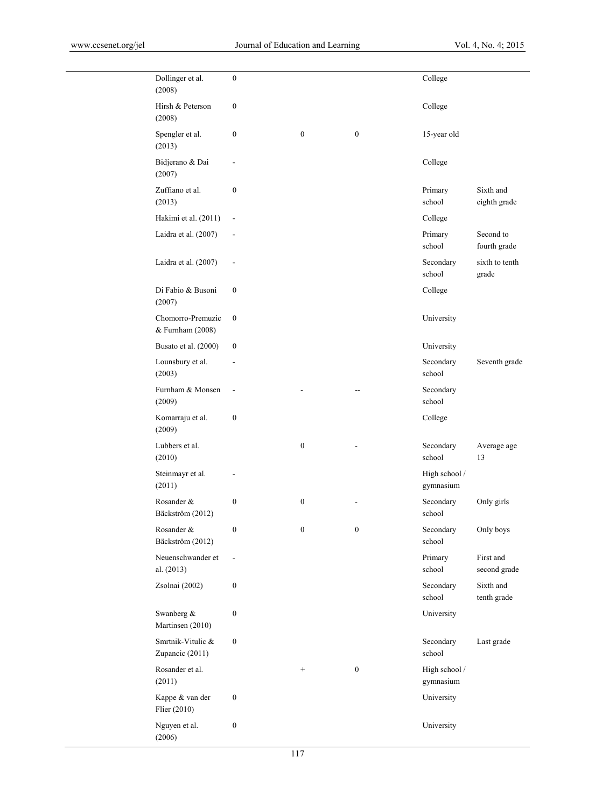| Dollinger et al.<br>(2008)            | $\boldsymbol{0}$ |                   |                  | College                    |                           |
|---------------------------------------|------------------|-------------------|------------------|----------------------------|---------------------------|
| Hirsh & Peterson<br>(2008)            | $\boldsymbol{0}$ |                   |                  | College                    |                           |
| Spengler et al.<br>(2013)             | $\boldsymbol{0}$ | $\boldsymbol{0}$  | $\boldsymbol{0}$ | 15-year old                |                           |
| Bidjerano & Dai<br>(2007)             |                  |                   |                  | College                    |                           |
| Zuffiano et al.<br>(2013)             | $\boldsymbol{0}$ |                   |                  | Primary<br>school          | Sixth and<br>eighth grade |
| Hakimi et al. (2011)                  |                  |                   |                  | College                    |                           |
| Laidra et al. (2007)                  |                  |                   |                  | Primary<br>school          | Second to<br>fourth grade |
| Laidra et al. (2007)                  |                  |                   |                  | Secondary<br>school        | sixth to tenth<br>grade   |
| Di Fabio & Busoni<br>(2007)           | $\boldsymbol{0}$ |                   |                  | College                    |                           |
| Chomorro-Premuzic<br>& Furnham (2008) | $\mathbf{0}$     |                   |                  | University                 |                           |
| Busato et al. (2000)                  | $\boldsymbol{0}$ |                   |                  | University                 |                           |
| Lounsbury et al.<br>(2003)            |                  |                   |                  | Secondary<br>school        | Seventh grade             |
| Furnham & Monsen<br>(2009)            |                  |                   |                  | Secondary<br>school        |                           |
| Komarraju et al.<br>(2009)            | $\boldsymbol{0}$ |                   |                  | College                    |                           |
| Lubbers et al.<br>(2010)              |                  | $\boldsymbol{0}$  |                  | Secondary<br>school        | Average age<br>13         |
| Steinmayr et al.<br>(2011)            |                  |                   |                  | High school /<br>gymnasium |                           |
| Rosander &<br>Bäckström (2012)        | $\boldsymbol{0}$ | $\boldsymbol{0}$  |                  | Secondary<br>school        | Only girls                |
| Rosander &<br>Bäckström (2012)        | $\boldsymbol{0}$ | $\boldsymbol{0}$  | $\boldsymbol{0}$ | Secondary<br>school        | Only boys                 |
| Neuenschwander et<br>al. (2013)       |                  |                   |                  | Primary<br>school          | First and<br>second grade |
| Zsolnai (2002)                        | $\boldsymbol{0}$ |                   |                  | Secondary<br>school        | Sixth and<br>tenth grade  |
| Swanberg &<br>Martinsen (2010)        | $\boldsymbol{0}$ |                   |                  | University                 |                           |
| Smrtnik-Vitulic &<br>Zupancic (2011)  | $\boldsymbol{0}$ |                   |                  | Secondary<br>school        | Last grade                |
| Rosander et al.<br>(2011)             |                  | $\qquad \qquad +$ | $\boldsymbol{0}$ | High school /<br>gymnasium |                           |
| Kappe & van der<br>Flier (2010)       | $\boldsymbol{0}$ |                   |                  | University                 |                           |
| Nguyen et al.<br>(2006)               | $\boldsymbol{0}$ |                   |                  | University                 |                           |